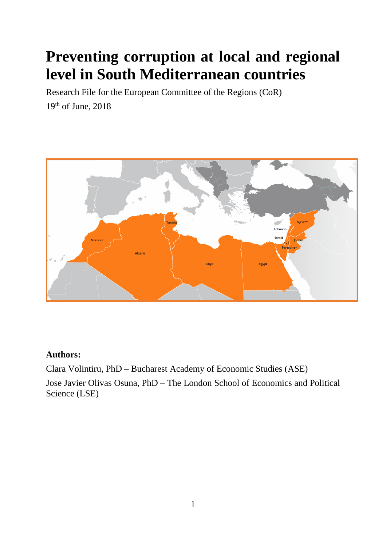# **Preventing corruption at local and regional level in South Mediterranean countries**

Research File for the European Committee of the Regions (CoR) 19th of June, 2018



### **Authors:**

Clara Volintiru, PhD – Bucharest Academy of Economic Studies (ASE) Jose Javier Olivas Osuna, PhD – The London School of Economics and Political Science (LSE)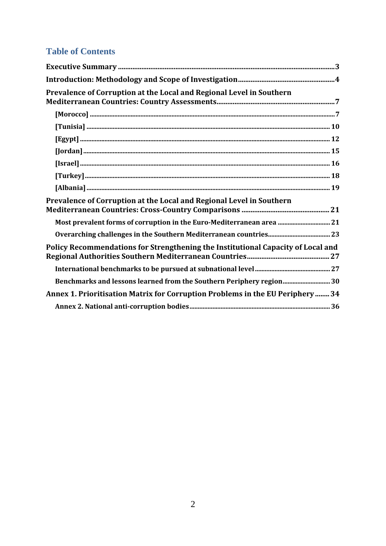# **Table of Contents**

| Prevalence of Corruption at the Local and Regional Level in Southern             |
|----------------------------------------------------------------------------------|
| $[\mathbf{M} \mathbf{orocco}] \textrm{}$                                         |
|                                                                                  |
|                                                                                  |
|                                                                                  |
|                                                                                  |
|                                                                                  |
|                                                                                  |
| Prevalence of Corruption at the Local and Regional Level in Southern             |
| Most prevalent forms of corruption in the Euro-Mediterranean area  21            |
|                                                                                  |
| Policy Recommendations for Strengthening the Institutional Capacity of Local and |
|                                                                                  |
| Benchmarks and lessons learned from the Southern Periphery region 30             |
| Annex 1. Prioritisation Matrix for Corruption Problems in the EU Periphery  34   |
|                                                                                  |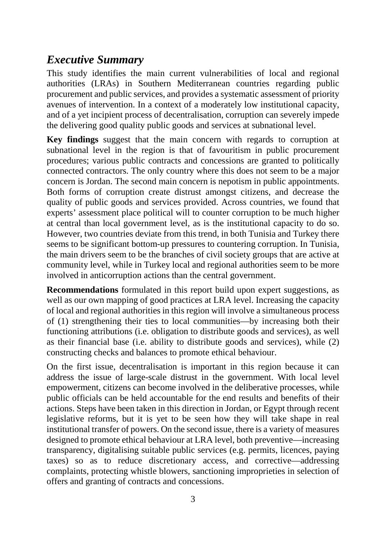# <span id="page-2-0"></span>*Executive Summary*

This study identifies the main current vulnerabilities of local and regional authorities (LRAs) in Southern Mediterranean countries regarding public procurement and public services, and provides a systematic assessment of priority avenues of intervention. In a context of a moderately low institutional capacity, and of a yet incipient process of decentralisation, corruption can severely impede the delivering good quality public goods and services at subnational level.

**Key findings** suggest that the main concern with regards to corruption at subnational level in the region is that of favouritism in public procurement procedures; various public contracts and concessions are granted to politically connected contractors. The only country where this does not seem to be a major concern is Jordan. The second main concern is nepotism in public appointments. Both forms of corruption create distrust amongst citizens, and decrease the quality of public goods and services provided. Across countries, we found that experts' assessment place political will to counter corruption to be much higher at central than local government level, as is the institutional capacity to do so. However, two countries deviate from this trend, in both Tunisia and Turkey there seems to be significant bottom-up pressures to countering corruption. In Tunisia, the main drivers seem to be the branches of civil society groups that are active at community level, while in Turkey local and regional authorities seem to be more involved in anticorruption actions than the central government.

**Recommendations** formulated in this report build upon expert suggestions, as well as our own mapping of good practices at LRA level. Increasing the capacity of local and regional authorities in this region will involve a simultaneous process of (1) strengthening their ties to local communities—by increasing both their functioning attributions (i.e. obligation to distribute goods and services), as well as their financial base (i.e. ability to distribute goods and services), while (2) constructing checks and balances to promote ethical behaviour.

On the first issue, decentralisation is important in this region because it can address the issue of large-scale distrust in the government. With local level empowerment, citizens can become involved in the deliberative processes, while public officials can be held accountable for the end results and benefits of their actions. Steps have been taken in this direction in Jordan, or Egypt through recent legislative reforms, but it is yet to be seen how they will take shape in real institutional transfer of powers. On the second issue, there is a variety of measures designed to promote ethical behaviour at LRA level, both preventive—increasing transparency, digitalising suitable public services (e.g. permits, licences, paying taxes) so as to reduce discretionary access, and corrective—addressing complaints, protecting whistle blowers, sanctioning improprieties in selection of offers and granting of contracts and concessions.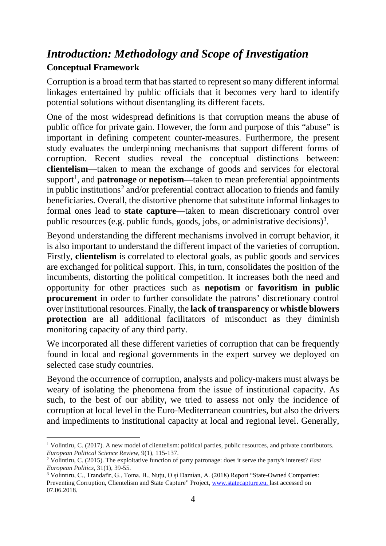# <span id="page-3-0"></span>*Introduction: Methodology and Scope of Investigation* **Conceptual Framework**

Corruption is a broad term that has started to represent so many different informal linkages entertained by public officials that it becomes very hard to identify potential solutions without disentangling its different facets.

One of the most widespread definitions is that corruption means the abuse of public office for private gain. However, the form and purpose of this "abuse" is important in defining competent counter-measures. Furthermore, the present study evaluates the underpinning mechanisms that support different forms of corruption. Recent studies reveal the conceptual distinctions between: **clientelism**—taken to mean the exchange of goods and services for electoral support<sup>1</sup>, and **patronage** or **nepotism**—taken to mean preferential appointments in public institutions<sup>[2](#page-3-2)</sup> and/or preferential contract allocation to friends and family beneficiaries. Overall, the distortive phenome that substitute informal linkages to formal ones lead to **state capture**—taken to mean discretionary control over public resources (e.g. public funds, goods, jobs, or administrative decisions)<sup>[3](#page-3-3)</sup>.

Beyond understanding the different mechanisms involved in corrupt behavior, it is also important to understand the different impact of the varieties of corruption. Firstly, **clientelism** is correlated to electoral goals, as public goods and services are exchanged for political support. This, in turn, consolidates the position of the incumbents, distorting the political competition. It increases both the need and opportunity for other practices such as **nepotism** or **favoritism in public procurement** in order to further consolidate the patrons' discretionary control over institutional resources. Finally, the **lack of transparency** or **whistle blowers protection** are all additional facilitators of misconduct as they diminish monitoring capacity of any third party.

We incorporated all these different varieties of corruption that can be frequently found in local and regional governments in the expert survey we deployed on selected case study countries.

Beyond the occurrence of corruption, analysts and policy-makers must always be weary of isolating the phenomena from the issue of institutional capacity. As such, to the best of our ability, we tried to assess not only the incidence of corruption at local level in the Euro-Mediterranean countries, but also the drivers and impediments to institutional capacity at local and regional level. Generally,

<span id="page-3-1"></span> <sup>1</sup> Volintiru, C. (2017). A new model of clientelism: political parties, public resources, and private contributors. *European Political Science Review*, 9(1), 115-137.

<span id="page-3-2"></span><sup>2</sup> Volintiru, C. (2015). The exploitative function of party patronage: does it serve the party's interest? *East European Politics*, 31(1), 39-55.

<span id="page-3-3"></span><sup>3</sup> Volintiru, C., Trandafir, G., Toma, B., Nuțu, O și Damian, A. (2018) Report "State-Owned Companies: Preventing Corruption, Clientelism and State Capture" Project[, www.statecapture.eu,](http://www.statecapture.eu/) last accessed on 07.06.2018.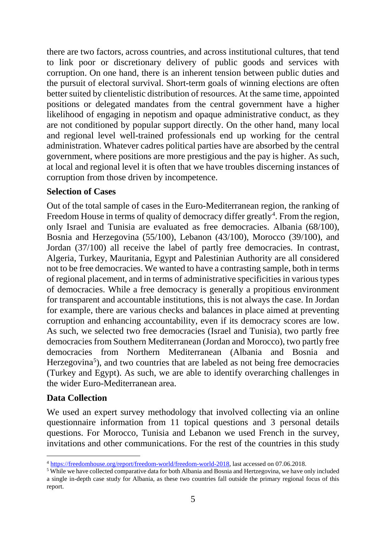there are two factors, across countries, and across institutional cultures, that tend to link poor or discretionary delivery of public goods and services with corruption. On one hand, there is an inherent tension between public duties and the pursuit of electoral survival. Short-term goals of winning elections are often better suited by clientelistic distribution of resources. At the same time, appointed positions or delegated mandates from the central government have a higher likelihood of engaging in nepotism and opaque administrative conduct, as they are not conditioned by popular support directly. On the other hand, many local and regional level well-trained professionals end up working for the central administration. Whatever cadres political parties have are absorbed by the central government, where positions are more prestigious and the pay is higher. As such, at local and regional level it is often that we have troubles discerning instances of corruption from those driven by incompetence.

### **Selection of Cases**

Out of the total sample of cases in the Euro-Mediterranean region, the ranking of Freedom House in terms of quality of democracy differ greatly<sup>[4](#page-4-0)</sup>. From the region, only Israel and Tunisia are evaluated as free democracies. Albania (68/100), Bosnia and Herzegovina (55/100), Lebanon (43/100), Morocco (39/100), and Jordan (37/100) all receive the label of partly free democracies. In contrast, Algeria, Turkey, Mauritania, Egypt and Palestinian Authority are all considered not to be free democracies. We wanted to have a contrasting sample, both in terms of regional placement, and in terms of administrative specificities in various types of democracies. While a free democracy is generally a propitious environment for transparent and accountable institutions, this is not always the case. In Jordan for example, there are various checks and balances in place aimed at preventing corruption and enhancing accountability, even if its democracy scores are low. As such, we selected two free democracies (Israel and Tunisia), two partly free democracies from Southern Mediterranean (Jordan and Morocco), two partly free democracies from Northern Mediterranean (Albania and Bosnia and Herzegovina<sup>[5](#page-4-1)</sup>), and two countries that are labeled as not being free democracies (Turkey and Egypt). As such, we are able to identify overarching challenges in the wider Euro-Mediterranean area.

#### **Data Collection**

We used an expert survey methodology that involved collecting via an online questionnaire information from 11 topical questions and 3 personal details questions. For Morocco, Tunisia and Lebanon we used French in the survey, invitations and other communications. For the rest of the countries in this study

<span id="page-4-0"></span> $\frac{4 \text{ https://freedomhouse.org/report/freedom-world/freedom-world/62018}}{5 \text{ While we have collected comparative data for both Albania and Bosnia and Hertzegovina, we have only included}}$ 

<span id="page-4-1"></span>a single in-depth case study for Albania, as these two countries fall outside the primary regional focus of this report.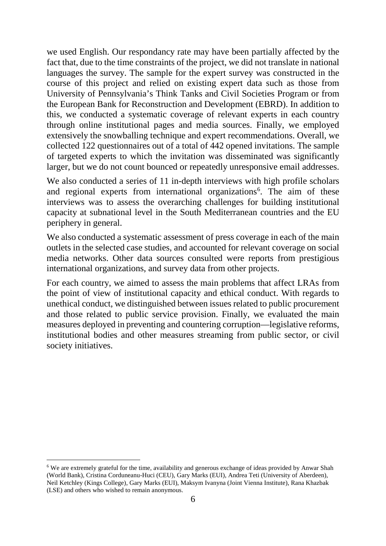we used English. Our respondancy rate may have been partially affected by the fact that, due to the time constraints of the project, we did not translate in national languages the survey. The sample for the expert survey was constructed in the course of this project and relied on existing expert data such as those from University of Pennsylvania's Think Tanks and Civil Societies Program or from the European Bank for Reconstruction and Development (EBRD). In addition to this, we conducted a systematic coverage of relevant experts in each country through online institutional pages and media sources. Finally, we employed extensively the snowballing technique and expert recommendations. Overall, we collected 122 questionnaires out of a total of 442 opened invitations. The sample of targeted experts to which the invitation was disseminated was significantly larger, but we do not count bounced or repeatedly unresponsive email addresses.

We also conducted a series of 11 in-depth interviews with high profile scholars and regional experts from international organizations<sup>6</sup>. The aim of these interviews was to assess the overarching challenges for building institutional capacity at subnational level in the South Mediterranean countries and the EU periphery in general.

We also conducted a systematic assessment of press coverage in each of the main outlets in the selected case studies, and accounted for relevant coverage on social media networks. Other data sources consulted were reports from prestigious international organizations, and survey data from other projects.

For each country, we aimed to assess the main problems that affect LRAs from the point of view of institutional capacity and ethical conduct. With regards to unethical conduct, we distinguished between issues related to public procurement and those related to public service provision. Finally, we evaluated the main measures deployed in preventing and countering corruption—legislative reforms, institutional bodies and other measures streaming from public sector, or civil society initiatives.

<span id="page-5-0"></span> <sup>6</sup> We are extremely grateful for the time, availability and generous exchange of ideas provided by Anwar Shah (World Bank), Cristina Corduneanu-Huci (CEU), Gary Marks (EUI), Andrea Teti (University of Aberdeen), Neil Ketchley (Kings College), Gary Marks (EUI), Maksym Ivanyna (Joint Vienna Institute), Rana Khazbak (LSE) and others who wished to remain anonymous.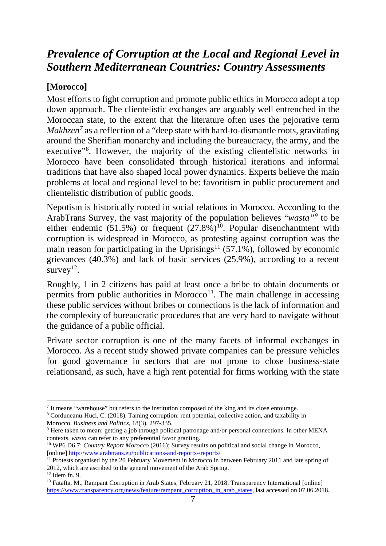# <span id="page-6-0"></span>*Prevalence of Corruption at the Local and Regional Level in Southern Mediterranean Countries: Country Assessments*

## <span id="page-6-1"></span>**[Morocco]**

Most efforts to fight corruption and promote public ethics in Morocco adopt a top down approach. The clientelistic exchanges are arguably well entrenched in the Moroccan state, to the extent that the literature often uses the pejorative term *Makhzen*<sup>[7](#page-6-2)</sup> as a reflection of a "deep state with hard-to-dismantle roots, gravitating around the Sherifian monarchy and including the bureaucracy, the army, and the executive"<sup>[8](#page-6-3)</sup>. However, the majority of the existing clientelistic networks in Morocco have been consolidated through historical iterations and informal traditions that have also shaped local power dynamics. Experts believe the main problems at local and regional level to be: favoritism in public procurement and clientelistic distribution of public goods.

Nepotism is historically rooted in social relations in Morocco. According to the ArabTrans Survey, the vast majority of the population believes "*wasta"[9](#page-6-4)* to be either endemic  $(51.5\%)$  or frequent  $(27.8\%)$ <sup>10</sup>. Popular disenchantment with corruption is widespread in Morocco, as protesting against corruption was the main reason for participating in the Uprisings<sup>[11](#page-6-6)</sup> (57.1%), followed by economic grievances (40.3%) and lack of basic services (25.9%), according to a recent survey<sup>12</sup>.

Roughly, 1 in 2 citizens has paid at least once a bribe to obtain documents or permits from public authorities in Morocco<sup>[13](#page-6-8)</sup>. The main challenge in accessing these public services without bribes or connections is the lack of information and the complexity of bureaucratic procedures that are very hard to navigate without the guidance of a public official.

Private sector corruption is one of the many facets of informal exchanges in Morocco. As a recent study showed private companies can be pressure vehicles for good governance in sectors that are not prone to close business-state relationsand, as such, have a high rent potential for firms working with the state

<span id="page-6-2"></span><sup>&</sup>lt;sup>7</sup> It means "warehouse" but refers to the institution composed of the king and its close entourage.

<span id="page-6-3"></span><sup>8</sup> Corduneanu-Huci, C. (2018). Taming corruption: rent potential, collective action, and taxability in Morocco. *Business and Politics*, 18(3), 297-335.

<span id="page-6-4"></span> $9$  Here taken to mean: getting a job through political patronage and/or personal connections. In other MENA contexts, *wasta* can refer to any preferential favor granting.

<span id="page-6-5"></span><sup>&</sup>lt;sup>10</sup> WP6 D6.7: *Country Report Morocco* (2016); Survey results on political and social change in Morocco, [online]<http://www.arabtrans.eu/publications-and-reports-/reports/>

<span id="page-6-6"></span><sup>&</sup>lt;sup>11</sup> Protests organised by the 20 February Movement in Morocco in between February 2011 and late spring of 2012, which are ascribed to the general movement of the Arab Spring.  $12$  Idem fn. 9.

<span id="page-6-8"></span><span id="page-6-7"></span><sup>&</sup>lt;sup>13</sup> Fatafta, M., Rampant Corruption in Arab States, February 21, 2018, Transparency International [online] [https://www.transparency.org/news/feature/rampant\\_corruption\\_in\\_arab\\_states,](https://www.transparency.org/news/feature/rampant_corruption_in_arab_states) last accessed on 07.06.2018.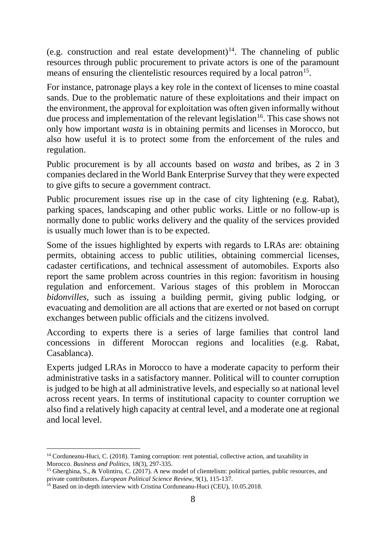(e.g. construction and real estate development)<sup>[14](#page-7-0)</sup>. The channeling of public resources through public procurement to private actors is one of the paramount means of ensuring the clientelistic resources required by a local patron<sup>15</sup>.

For instance, patronage plays a key role in the context of licenses to mine coastal sands. Due to the problematic nature of these exploitations and their impact on the environment, the approval for exploitation was often given informally without due process and implementation of the relevant legislation<sup>[16](#page-7-2)</sup>. This case shows not only how important *wasta* is in obtaining permits and licenses in Morocco, but also how useful it is to protect some from the enforcement of the rules and regulation.

Public procurement is by all accounts based on *wasta* and bribes, as 2 in 3 companies declared in the World Bank Enterprise Survey that they were expected to give gifts to secure a government contract.

Public procurement issues rise up in the case of city lightening (e.g. Rabat), parking spaces, landscaping and other public works. Little or no follow-up is normally done to public works delivery and the quality of the services provided is usually much lower than is to be expected.

Some of the issues highlighted by experts with regards to LRAs are: obtaining permits, obtaining access to public utilities, obtaining commercial licenses, cadaster certifications, and technical assessment of automobiles. Exports also report the same problem across countries in this region: favoritism in housing regulation and enforcement. Various stages of this problem in Moroccan *bidonvilles*, such as issuing a building permit, giving public lodging, or evacuating and demolition are all actions that are exerted or not based on corrupt exchanges between public officials and the citizens involved.

According to experts there is a series of large families that control land concessions in different Moroccan regions and localities (e.g. Rabat, Casablanca).

Experts judged LRAs in Morocco to have a moderate capacity to perform their administrative tasks in a satisfactory manner. Political will to counter corruption is judged to be high at all administrative levels, and especially so at national level across recent years. In terms of institutional capacity to counter corruption we also find a relatively high capacity at central level, and a moderate one at regional and local level.

<span id="page-7-0"></span> <sup>14</sup> Corduneanu-Huci, C. (2018). Taming corruption: rent potential, collective action, and taxability in Morocco. *Business and Politics*, 18(3), 297-335.

<span id="page-7-1"></span><sup>&</sup>lt;sup>15</sup> Gherghina, S., & Volintiru, C. (2017). A new model of clientelism: political parties, public resources, and private contributors. *European Political Science Review*, 9(1), 115-137.

<span id="page-7-2"></span><sup>&</sup>lt;sup>16</sup> Based on in-depth interview with Cristina Corduneanu-Huci (CEU), 10.05.2018.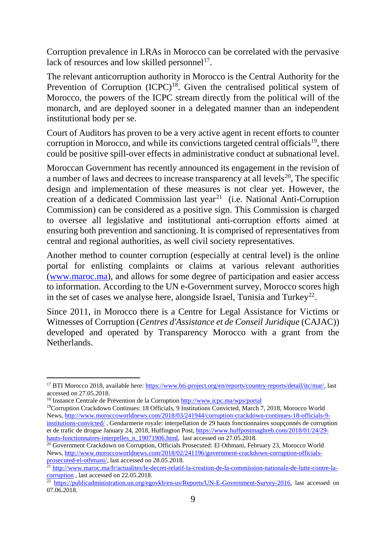Corruption prevalence in LRAs in Morocco can be correlated with the pervasive lack of resources and low skilled personnel<sup>[17](#page-8-0)</sup>.

The relevant anticorruption authority in Morocco is the Central Authority for the Prevention of Corruption  $(ICPC)^{18}$  $(ICPC)^{18}$  $(ICPC)^{18}$ . Given the centralised political system of Morocco, the powers of the ICPC stream directly from the political will of the monarch, and are deployed sooner in a delegated manner than an independent institutional body per se.

Court of Auditors has proven to be a very active agent in recent efforts to counter corruption in Morocco, and while its convictions targeted central officials<sup>19</sup>, there could be positive spill-over effects in administrative conduct at subnational level.

Moroccan Government has recently announced its engagement in the revision of a number of laws and decrees to increase transparency at all levels<sup>[20](#page-8-3)</sup>, The specific design and implementation of these measures is not clear yet. However, the creation of a dedicated Commission last year<sup>[21](#page-8-4)</sup> (i.e. National Anti-Corruption Commission) can be considered as a positive sign. This Commission is charged to oversee all legislative and institutional anti-corruption efforts aimed at ensuring both prevention and sanctioning. It is comprised of representatives from central and regional authorities, as well civil society representatives.

Another method to counter corruption (especially at central level) is the online portal for enlisting complaints or claims at various relevant authorities [\(www.maroc.ma\)](http://www.maroc.ma/), and allows for some degree of participation and easier access to information. According to the UN e-Government survey, Morocco scores high in the set of cases we analyse here, alongside Israel, Tunisia and Turkey<sup>[22](#page-8-5)</sup>.

Since 2011, in Morocco there is a Centre for Legal Assistance for Victims or Witnesses of Corruption (*Centres d'Assistance et de Conseil Juridique* (CAJAC)) developed and operated by Transparency Morocco with a grant from the Netherlands.

<span id="page-8-0"></span><sup>&</sup>lt;sup>17</sup> BTI Morocco 2018, available here: [https://www.bti-project.org/en/reports/country-reports/detail/itc/mar/,](https://www.bti-project.org/en/reports/country-reports/detail/itc/mar/) last accessed on 27.05.2018.

<span id="page-8-1"></span><sup>&</sup>lt;sup>18</sup> Instance Centrale de Prévention de la Corruption<http://www.icpc.ma/wps/portal>

<span id="page-8-2"></span><sup>19</sup>Corruption Crackdown Continues: 18 Officials, 9 Institutions Convicted, March 7, 2018, Morocco World News, [http://www.moroccoworldnews.com/2018/03/241944/corruption-crackdown-continues-18-officials-9](http://www.moroccoworldnews.com/2018/03/241944/corruption-crackdown-continues-18-officials-9-institutions-convicted/) [institutions-convicted/](http://www.moroccoworldnews.com/2018/03/241944/corruption-crackdown-continues-18-officials-9-institutions-convicted/) , Gendarmerie royale: interpellation de 29 hauts fonctionnaires soupçonnés de corruption et de trafic de drogue January 24, 2018, Huffington Post, [https://www.huffpostmaghreb.com/2018/01/24/29-](https://www.huffpostmaghreb.com/2018/01/24/29-hauts-fonctionnaires-interpelles_n_19071906.html)<br>hauts-fonctionnaires-interpelles n 19071906.html, last accessed on 27.05.2018.

<span id="page-8-3"></span> $\frac{1}{20}$  Government Crackdown on Corruption, Officials Prosecuted: El Othmani, February 23, Morocco World News, [http://www.moroccoworldnews.com/2018/02/241196/government-crackdown-corruption-officials](http://www.moroccoworldnews.com/2018/02/241196/government-crackdown-corruption-officials-prosecuted-el-othmani/)[prosecuted-el-othmani/,](http://www.moroccoworldnews.com/2018/02/241196/government-crackdown-corruption-officials-prosecuted-el-othmani/) last accessed on 28.05.2018.

<span id="page-8-4"></span><sup>21</sup> [http://www.maroc.ma/fr/actualites/le-decret-relatif-la-creation-de-la-commission-nationale-de-lutte-contre-la](http://www.maroc.ma/fr/actualites/le-decret-relatif-la-creation-de-la-commission-nationale-de-lutte-contre-la-corruption)[corruption](http://www.maroc.ma/fr/actualites/le-decret-relatif-la-creation-de-la-commission-nationale-de-lutte-contre-la-corruption), last accessed on 22.05.2018.

<span id="page-8-5"></span><sup>&</sup>lt;sup>22</sup> [https://publicadministration.un.org/egovkb/en-us/Reports/UN-E-Government-Survey-2016,](https://publicadministration.un.org/egovkb/en-us/Reports/UN-E-Government-Survey-2016) last accessed on 07.06.2018.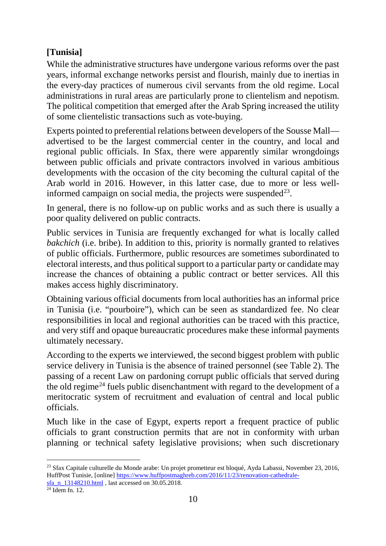# <span id="page-9-0"></span>**[Tunisia]**

While the administrative structures have undergone various reforms over the past years, informal exchange networks persist and flourish, mainly due to inertias in the every-day practices of numerous civil servants from the old regime. Local administrations in rural areas are particularly prone to clientelism and nepotism. The political competition that emerged after the Arab Spring increased the utility of some clientelistic transactions such as vote-buying.

Experts pointed to preferential relations between developers of the Sousse Mall advertised to be the largest commercial center in the country, and local and regional public officials. In Sfax, there were apparently similar wrongdoings between public officials and private contractors involved in various ambitious developments with the occasion of the city becoming the cultural capital of the Arab world in 2016. However, in this latter case, due to more or less wellinformed campaign on social media, the projects were suspended<sup>23</sup>.

In general, there is no follow-up on public works and as such there is usually a poor quality delivered on public contracts.

Public services in Tunisia are frequently exchanged for what is locally called *bakchich* (i.e. bribe). In addition to this, priority is normally granted to relatives of public officials. Furthermore, public resources are sometimes subordinated to electoral interests, and thus political support to a particular party or candidate may increase the chances of obtaining a public contract or better services. All this makes access highly discriminatory.

Obtaining various official documents from local authorities has an informal price in Tunisia (i.e. "pourboire"), which can be seen as standardized fee. No clear responsibilities in local and regional authorities can be traced with this practice, and very stiff and opaque bureaucratic procedures make these informal payments ultimately necessary.

According to the experts we interviewed, the second biggest problem with public service delivery in Tunisia is the absence of trained personnel (see Table 2). The passing of a recent Law on pardoning corrupt public officials that served during the old regime<sup>[24](#page-9-2)</sup> fuels public disenchantment with regard to the development of a meritocratic system of recruitment and evaluation of central and local public officials.

Much like in the case of Egypt, experts report a frequent practice of public officials to grant construction permits that are not in conformity with urban planning or technical safety legislative provisions; when such discretionary

<span id="page-9-1"></span> <sup>23</sup> Sfax Capitale culturelle du Monde arabe: Un projet prometteur est bloqué, Ayda Labassi, November 23, 2016, HuffPost Tunisie, [online] [https://www.huffpostmaghreb.com/2016/11/23/renovation-cathedrale-](https://www.huffpostmaghreb.com/2016/11/23/renovation-cathedrale-sfa_n_13148210.html) $\frac{\text{sta}}{24}$  Idem fn. 12.

<span id="page-9-2"></span>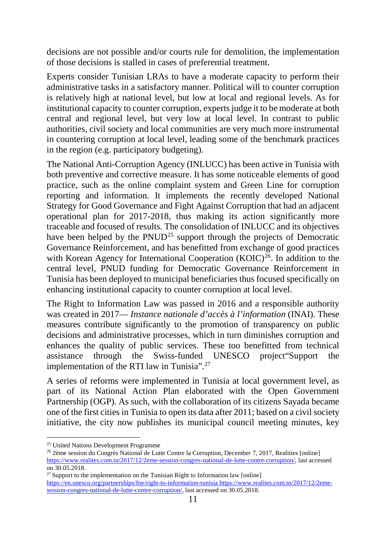decisions are not possible and/or courts rule for demolition, the implementation of those decisions is stalled in cases of preferential treatment.

Experts consider Tunisian LRAs to have a moderate capacity to perform their administrative tasks in a satisfactory manner. Political will to counter corruption is relatively high at national level, but low at local and regional levels. As for institutional capacity to counter corruption, experts judge it to be moderate at both central and regional level, but very low at local level. In contrast to public authorities, civil society and local communities are very much more instrumental in countering corruption at local level, leading some of the benchmark practices in the region (e.g. participatory budgeting).

The National Anti-Corruption Agency (INLUCC) has been active in Tunisia with both preventive and corrective measure. It has some noticeable elements of good practice, such as the online complaint system and Green Line for corruption reporting and information. It implements the recently developed National Strategy for Good Governance and Fight Against Corruption that had an adjacent operational plan for 2017-2018, thus making its action significantly more traceable and focused of results. The consolidation of INLUCC and its objectives have been helped by the  $PWUD^{25}$  $PWUD^{25}$  $PWUD^{25}$  support through the projects of Democratic Governance Reinforcement, and has benefitted from exchange of good practices with Korean Agency for International Cooperation  $(KOIC)^{26}$  $(KOIC)^{26}$  $(KOIC)^{26}$ . In addition to the central level, PNUD funding for Democratic Governance Reinforcement in Tunisia has been deployed to municipal beneficiaries thus focused specifically on enhancing institutional capacity to counter corruption at local level.

The Right to Information Law was passed in 2016 and a responsible authority was created in 2017— *Instance nationale d'accès à l'information* (INAI). These measures contribute significantly to the promotion of transparency on public decisions and administrative processes, which in turn diminishes corruption and enhances the quality of public services. These too benefitted from technical assistance through the Swiss-funded UNESCO project"Support the implementation of the RTI law in Tunisia".<sup>[27](#page-10-2)</sup>

A series of reforms were implemented in Tunisia at local government level, as part of its National Action Plan elaborated with the Open Government Partnership (OGP). As such, with the collaboration of its citizens Sayada became one of the first cities in Tunisia to open its data after 2011; based on a civil society initiative, the city now publishes its municipal council meeting minutes, key

<span id="page-10-0"></span> <sup>25</sup> United Nations Development Programme

<span id="page-10-1"></span><sup>26</sup> 2ème session du Congrès National de Lutte Contre la Corruption, December 7, 2017, Realities [online] [https://www.realites.com.tn/2017/12/2eme-session-congres-national-de-lutte-contre-corruption/,](https://www.realites.com.tn/2017/12/2eme-session-congres-national-de-lutte-contre-corruption/) last accessed on 30.05.2018.

<span id="page-10-2"></span> $27$  Support to the implementation on the Tunisian Right to Information law [online] <https://en.unesco.org/partnerships/foe/right-to-information-tunisia> [https://www.realites.com.tn/2017/12/2eme](https://www.realites.com.tn/2017/12/2eme-session-congres-national-de-lutte-contre-corruption/)[session-congres-national-de-lutte-contre-corruption/,](https://www.realites.com.tn/2017/12/2eme-session-congres-national-de-lutte-contre-corruption/) last accessed on 30.05.2018.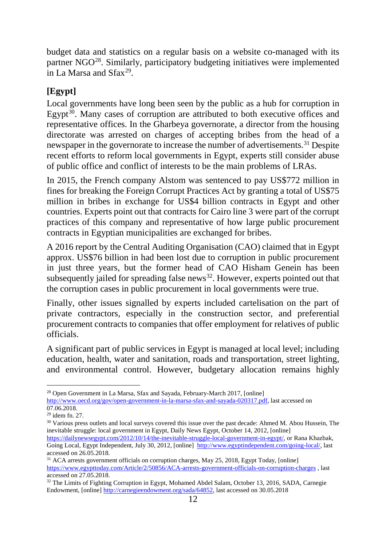budget data and statistics on a regular basis on a website co-managed with its partner NGO[28.](#page-11-1) Similarly, participatory budgeting initiatives were implemented in La Marsa and  $Sfax^{29}$  $Sfax^{29}$  $Sfax^{29}$ .

### <span id="page-11-0"></span>**[Egypt]**

Local governments have long been seen by the public as a hub for corruption in Egypt<sup>[30](#page-11-3)</sup>. Many cases of corruption are attributed to both executive offices and representative offices. In the Gharbeya governorate, a director from the housing directorate was arrested on charges of accepting bribes from the head of a newspaper in the governorate to increase the number of advertisements.<sup>[31](#page-11-4)</sup> Despite recent efforts to reform local governments in Egypt, experts still consider abuse of public office and conflict of interests to be the main problems of LRAs.

In 2015, the French company Alstom was sentenced to pay US\$772 million in fines for breaking the Foreign Corrupt Practices Act by granting a total of US\$75 million in bribes in exchange for US\$4 billion contracts in Egypt and other countries. Experts point out that contracts for Cairo line 3 were part of the corrupt practices of this company and representative of how large public procurement contracts in Egyptian municipalities are exchanged for bribes.

A 2016 report by the Central Auditing Organisation (CAO) claimed that in Egypt approx. US\$76 billion in had been lost due to corruption in public procurement in just three years, but the former head of CAO Hisham Genein has been subsequently jailed for spreading false news<sup>32</sup>. However, experts pointed out that the corruption cases in public procurement in local governments were true.

Finally, other issues signalled by experts included cartelisation on the part of private contractors, especially in the construction sector, and preferential procurement contracts to companies that offer employment for relatives of public officials.

A significant part of public services in Egypt is managed at local level; including education, health, water and sanitation, roads and transportation, street lighting, and environmental control. However, budgetary allocation remains highly

<span id="page-11-1"></span><sup>&</sup>lt;sup>28</sup> Open Government in La Marsa, Sfax and Sayada, February-March 2017, [online]

[http://www.oecd.org/gov/open-government-in-la-marsa-sfax-and-sayada-020317.pdf,](http://www.oecd.org/gov/open-government-in-la-marsa-sfax-and-sayada-020317.pdf) last accessed on 07.06.2018.<br><sup>29</sup> idem fn. 27.

<span id="page-11-2"></span>

<span id="page-11-3"></span><sup>&</sup>lt;sup>30</sup> Various press outlets and local surveys covered this issue over the past decade: Ahmed M. Abou Hussein, The inevitable struggle: local government in Egypt, Daily News Egypt, October 14, 2012, [online] [https://dailynewsegypt.com/2012/10/14/the-inevitable-struggle-local-government-in-egypt/,](https://dailynewsegypt.com/2012/10/14/the-inevitable-struggle-local-government-in-egypt/) or Rana Khazbak,

Going Local, Egypt Independent, July 30, 2012, [online] [http://www.egyptindependent.com/going-local/,](http://www.egyptindependent.com/going-local/) last accessed on 26.05.2018.

<span id="page-11-4"></span><sup>&</sup>lt;sup>31</sup> ACA arrests government officials on corruption charges, May 25, 2018, Egypt Today, [online] <https://www.egypttoday.com/Article/2/50856/ACA-arrests-government-officials-on-corruption-charges> , last accessed on 27.05.2018.

<span id="page-11-5"></span><sup>&</sup>lt;sup>32</sup> The Limits of Fighting Corruption in Egypt, Mohamed Abdel Salam, October 13, 2016, SADA, Carnegie Endowment, [online] [http://carnegieendowment.org/sada/64852,](http://carnegieendowment.org/sada/64852) last accessed on 30.05.2018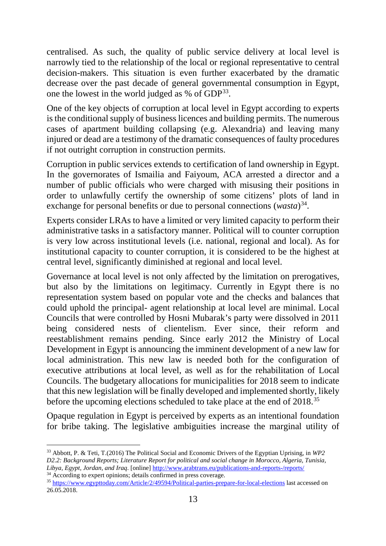centralised. As such, the quality of public service delivery at local level is narrowly tied to the relationship of the local or regional representative to central decision-makers. This situation is even further exacerbated by the dramatic decrease over the past decade of general governmental consumption in Egypt, one the lowest in the world judged as  $%$  of GDP<sup>[33](#page-12-0)</sup>.

One of the key objects of corruption at local level in Egypt according to experts is the conditional supply of business licences and building permits. The numerous cases of apartment building collapsing (e.g. Alexandria) and leaving many injured or dead are a testimony of the dramatic consequences of faulty procedures if not outright corruption in construction permits.

Corruption in public services extends to certification of land ownership in Egypt. In the governorates of Ismailia and Faiyoum, ACA arrested a director and a number of public officials who were charged with misusing their positions in order to unlawfully certify the ownership of some citizens' plots of land in exchange for personal benefits or due to personal connections (*wasta*)<sup>[34](#page-12-1)</sup>.

Experts consider LRAs to have a limited or very limited capacity to perform their administrative tasks in a satisfactory manner. Political will to counter corruption is very low across institutional levels (i.e. national, regional and local). As for institutional capacity to counter corruption, it is considered to be the highest at central level, significantly diminished at regional and local level.

Governance at local level is not only affected by the limitation on prerogatives, but also by the limitations on legitimacy. Currently in Egypt there is no representation system based on popular vote and the checks and balances that could uphold the principal- agent relationship at local level are minimal. Local Councils that were controlled by Hosni Mubarak's party were dissolved in 2011 being considered nests of clientelism. Ever since, their reform and reestablishment remains pending. Since early 2012 the Ministry of Local Development in Egypt is announcing the imminent development of a new law for local administration. This new law is needed both for the configuration of executive attributions at local level, as well as for the rehabilitation of Local Councils. The budgetary allocations for municipalities for 2018 seem to indicate that this new legislation will be finally developed and implemented shortly, likely before the upcoming elections scheduled to take place at the end of 2018.[35](#page-12-2)

Opaque regulation in Egypt is perceived by experts as an intentional foundation for bribe taking. The legislative ambiguities increase the marginal utility of

<span id="page-12-0"></span> <sup>33</sup> Abbott, P. & Teti, T.(2016) The Political Social and Economic Drivers of the Egyptian Uprising, in *WP2 D2.2: Background Reports; Literature Report for political and social change in Morocco, Algeria, Tunisia, Libya, Egypt, Jordan, and Iraq*. [online]<http://www.arabtrans.eu/publications-and-reports-/reports/>

<span id="page-12-2"></span><span id="page-12-1"></span><sup>&</sup>lt;sup>34</sup> According to expert opinions; details confirmed in press coverage. <sup>35</sup> <https://www.egypttoday.com/Article/2/49594/Political-parties-prepare-for-local-elections> last accessed on 26.05.2018.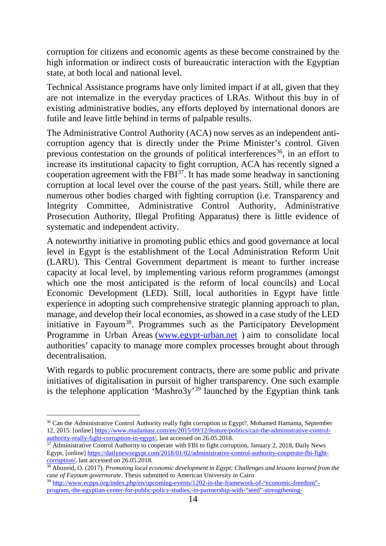corruption for citizens and economic agents as these become constrained by the high information or indirect costs of bureaucratic interaction with the Egyptian state, at both local and national level.

Technical Assistance programs have only limited impact if at all, given that they are not internalize in the everyday practices of LRAs. Without this buy in of existing administrative bodies, any efforts deployed by international donors are futile and leave little behind in terms of palpable results.

The Administrative Control Authority (ACA) now serves as an independent anticorruption agency that is directly under the Prime Minister's control. Given previous contestation on the grounds of political interferences<sup>[36](#page-13-0)</sup>, in an effort to increase its institutional capacity to fight corruption, ACA has recently signed a cooperation agreement with the  $FBI<sup>37</sup>$  $FBI<sup>37</sup>$  $FBI<sup>37</sup>$ . It has made some headway in sanctioning corruption at local level over the course of the past years. Still, while there are numerous other bodies charged with fighting corruption (i.e. Transparency and Integrity Committee, Administrative Control Authority, Administrative Prosecution Authority, Illegal Profiting Apparatus) there is little evidence of systematic and independent activity.

A noteworthy initiative in promoting public ethics and good governance at local level in Egypt is the establishment of the Local Administration Reform Unit (LARU). This Central Government department is meant to further increase capacity at local level, by implementing various reform programmes (amongst which one the most anticipated is the reform of local councils) and Local Economic Development (LED). Still, local authorities in Egypt have little experience in adopting such comprehensive strategic planning approach to plan, manage, and develop their local economies, as showed in a case study of the LED initiative in Fayoum<sup>38</sup>. Programmes such as the Participatory Development Programme in Urban Areas [\(www.egypt-urban.net](http://www.egypt-urban.net/) ) aim to consolidate local authorities' capacity to manage more complex processes brought about through decentralisation.

With regards to public procurement contracts, there are some public and private initiatives of digitalisation in pursuit of higher transparency. One such example is the telephone application 'Mashro3y'<sup>[39](#page-13-3)</sup> launched by the Egyptian think tank

<span id="page-13-0"></span><sup>&</sup>lt;sup>36</sup> Can the Administrative Control Authority really fight corruption in Egypt?, Mohamed Hamama, September 12, 2015. [online] https://www.madamasr.com/en/2015/09/12/feature/politics/can-the-administrative-control-<br>authority-really-fight-corruption-in-egypt/, last accessed on 26.05.2018.

<span id="page-13-1"></span> $\frac{37}{37}$  Administrative Control Authority to cooperate with FBI to fight corruption, January 2, 2018, Daily News Egypt, [online] https://dailynewsegypt.com/2018/01/02/administrative-control-authority-cooperate-fbi-fight-corruption/, last accessed on 26.05.2018.

<span id="page-13-2"></span><sup>&</sup>lt;sup>38</sup> Abozeid, O. (2017). *Promoting local economic development in Egypt: Challenges and lessons learned from the case of Fayoum governorate*. Thesis submitted to American University in Cairo

<span id="page-13-3"></span><sup>39</sup> [http://www.ecpps.org/index.php/en/upcoming-events/1202-in-the-framework-of-"economic-freedom"](http://www.ecpps.org/index.php/en/upcoming-events/1202-in-the-framework-of-) [program,-the-egyptian-center-for-public-policy-studies,-in-partnership-with-"seed"-strengthening-](http://www.ecpps.org/index.php/en/upcoming-events/1202-in-the-framework-of-)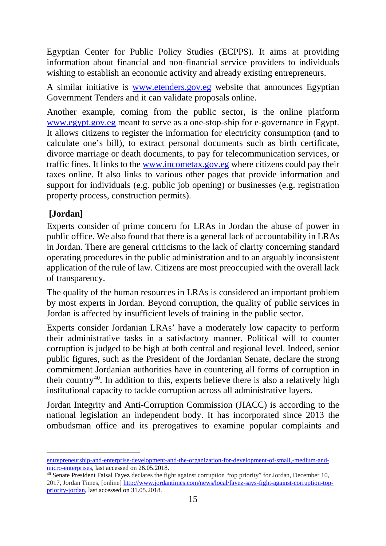Egyptian Center for Public Policy Studies (ECPPS). It aims at providing information about financial and non-financial service providers to individuals wishing to establish an economic activity and already existing entrepreneurs.

A similar initiative is [www.etenders.gov.eg](http://www.etenders.gov.eg/) website that announces Egyptian Government Tenders and it can validate proposals online.

Another example, coming from the public sector, is the online platform [www.egypt.gov.eg](http://www.egypt.gov.eg/) meant to serve as a one-stop-ship for e-governance in Egypt. It allows citizens to register the information for electricity consumption (and to calculate one's bill), to extract personal documents such as birth certificate, divorce marriage or death documents, to pay for telecommunication services, or traffic fines. It links to the [www.incometax.gov.eg](http://www.incometax.gov.eg/) where citizens could pay their taxes online. It also links to various other pages that provide information and support for individuals (e.g. public job opening) or businesses (e.g. registration property process, construction permits).

# <span id="page-14-0"></span>**[Jordan]**

Experts consider of prime concern for LRAs in Jordan the abuse of power in public office. We also found that there is a general lack of accountability in LRAs in Jordan. There are general criticisms to the lack of clarity concerning standard operating procedures in the public administration and to an arguably inconsistent application of the rule of law. Citizens are most preoccupied with the overall lack of transparency.

The quality of the human resources in LRAs is considered an important problem by most experts in Jordan. Beyond corruption, the quality of public services in Jordan is affected by insufficient levels of training in the public sector.

Experts consider Jordanian LRAs' have a moderately low capacity to perform their administrative tasks in a satisfactory manner. Political will to counter corruption is judged to be high at both central and regional level. Indeed, senior public figures, such as the President of the Jordanian Senate, declare the strong commitment Jordanian authorities have in countering all forms of corruption in their country<sup>[40](#page-14-1)</sup>. In addition to this, experts believe there is also a relatively high institutional capacity to tackle corruption across all administrative layers.

Jordan Integrity and Anti-Corruption Commission (JIACC) is according to the national legislation an independent body. It has incorporated since 2013 the ombudsman office and its prerogatives to examine popular complaints and

[entrepreneurship-and-enterprise-development-and-the-organization-for-development-of-small,-medium-and](http://www.ecpps.org/index.php/en/upcoming-events/1202-in-the-framework-of-)[micro-enterprises,](http://www.ecpps.org/index.php/en/upcoming-events/1202-in-the-framework-of-) last accessed on 26.05.2018.

<span id="page-14-1"></span><sup>40</sup> Senate President Faisal Fayez declares the fight against corruption "top priority" for Jordan, December 10, 2017, Jordan Times, [online] [http://www.jordantimes.com/news/local/fayez-says-fight-against-corruption-top](http://www.jordantimes.com/news/local/fayez-says-fight-against-corruption-top-priority-jordan)[priority-jordan,](http://www.jordantimes.com/news/local/fayez-says-fight-against-corruption-top-priority-jordan) last accessed on 31.05.2018.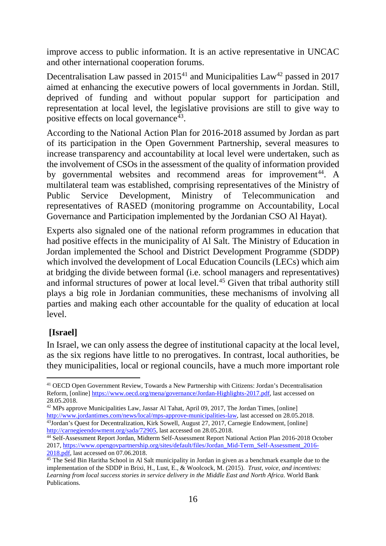improve access to public information. It is an active representative in UNCAC and other international cooperation forums.

Decentralisation Law passed in  $2015<sup>41</sup>$  $2015<sup>41</sup>$  $2015<sup>41</sup>$  and Municipalities Law<sup>[42](#page-15-2)</sup> passed in 2017 aimed at enhancing the executive powers of local governments in Jordan. Still, deprived of funding and without popular support for participation and representation at local level, the legislative provisions are still to give way to positive effects on local governance  $43$ .

According to the National Action Plan for 2016-2018 assumed by Jordan as part of its participation in the Open Government Partnership, several measures to increase transparency and accountability at local level were undertaken, such as the involvement of CSOs in the assessment of the quality of information provided by governmental websites and recommend areas for improvement<sup>[44](#page-15-4)</sup>. A multilateral team was established, comprising representatives of the Ministry of Public Service Development, Ministry of Telecommunication and representatives of RASED (monitoring programme on Accountability, Local Governance and Participation implemented by the Jordanian CSO Al Hayat).

Experts also signaled one of the national reform programmes in education that had positive effects in the municipality of Al Salt. The Ministry of Education in Jordan implemented the School and District Development Programme (SDDP) which involved the development of Local Education Councils (LECs) which aim at bridging the divide between formal (i.e. school managers and representatives) and informal structures of power at local level.[45](#page-15-5) Given that tribal authority still plays a big role in Jordanian communities, these mechanisms of involving all parties and making each other accountable for the quality of education at local level.

### <span id="page-15-0"></span>**[Israel]**

In Israel, we can only assess the degree of institutional capacity at the local level, as the six regions have little to no prerogatives. In contrast, local authorities, be they municipalities, local or regional councils, have a much more important role

<span id="page-15-1"></span> <sup>41</sup> OECD Open Government Review, Towards a New Partnership with Citizens: Jordan's Decentralisation Reform, [online[\] https://www.oecd.org/mena/governance/Jordan-Highlights-2017.pdf,](https://www.oecd.org/mena/governance/Jordan-Highlights-2017.pdf) last accessed on 28.05.2018.

<span id="page-15-2"></span><sup>&</sup>lt;sup>42</sup> MPs approve Municipalities Law, Jassar Al Tahat, April 09, 2017, The Jordan Times, [online]  $\frac{http://www.jordantimes.com/news/local/mps-approve-municipalities-law}{}$ , last accessed on 28.05.2018.  $\frac{43Jordan's Quest for Decentralization, Kirk Sowell, August 27, 2017, Carnegie Endowment, [online]$ [http://carnegieendowment.org/sada/72905,](http://carnegieendowment.org/sada/72905) last accessed on 28.05.2018.

<span id="page-15-4"></span><span id="page-15-3"></span><sup>44</sup> Self-Assessment Report Jordan, Midterm Self-Assessment Report National Action Plan 2016-2018 October 2017, [https://www.opengovpartnership.org/sites/default/files/Jordan\\_Mid-Term\\_Self-Assessment\\_2016-](https://www.opengovpartnership.org/sites/default/files/Jordan_Mid-Term_Self-Assessment_2016-2018.pdf)<br>2018.pdf, last accessed on 07.06.2018.

<span id="page-15-5"></span> $\frac{45 \text{ The } S}$  The Seid Bin Haritha School in Al Salt municipality in Jordan in given as a benchmark example due to the implementation of the SDDP in Brixi, H., Lust, E., & Woolcock, M. (2015). *Trust, voice, and incentives: Learning from local success stories in service delivery in the Middle East and North Africa*. World Bank Publications.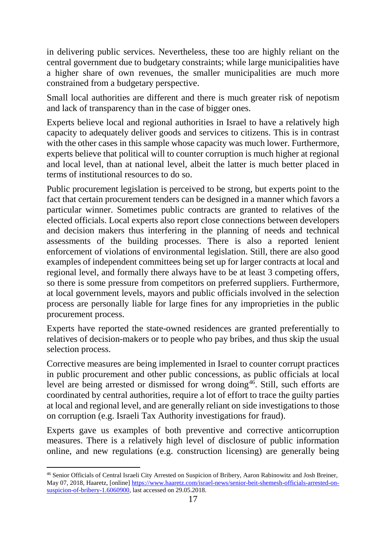in delivering public services. Nevertheless, these too are highly reliant on the central government due to budgetary constraints; while large municipalities have a higher share of own revenues, the smaller municipalities are much more constrained from a budgetary perspective.

Small local authorities are different and there is much greater risk of nepotism and lack of transparency than in the case of bigger ones.

Experts believe local and regional authorities in Israel to have a relatively high capacity to adequately deliver goods and services to citizens. This is in contrast with the other cases in this sample whose capacity was much lower. Furthermore, experts believe that political will to counter corruption is much higher at regional and local level, than at national level, albeit the latter is much better placed in terms of institutional resources to do so.

Public procurement legislation is perceived to be strong, but experts point to the fact that certain procurement tenders can be designed in a manner which favors a particular winner. Sometimes public contracts are granted to relatives of the elected officials. Local experts also report close connections between developers and decision makers thus interfering in the planning of needs and technical assessments of the building processes. There is also a reported lenient enforcement of violations of environmental legislation. Still, there are also good examples of independent committees being set up for larger contracts at local and regional level, and formally there always have to be at least 3 competing offers, so there is some pressure from competitors on preferred suppliers. Furthermore, at local government levels, mayors and public officials involved in the selection process are personally liable for large fines for any improprieties in the public procurement process.

Experts have reported the state-owned residences are granted preferentially to relatives of decision-makers or to people who pay bribes, and thus skip the usual selection process.

Corrective measures are being implemented in Israel to counter corrupt practices in public procurement and other public concessions, as public officials at local level are being arrested or dismissed for wrong doing<sup>[46](#page-16-0)</sup>. Still, such efforts are coordinated by central authorities, require a lot of effort to trace the guilty parties at local and regional level, and are generally reliant on side investigations to those on corruption (e.g. Israeli Tax Authority investigations for fraud).

Experts gave us examples of both preventive and corrective anticorruption measures. There is a relatively high level of disclosure of public information online, and new regulations (e.g. construction licensing) are generally being

<span id="page-16-0"></span> <sup>46</sup> Senior Officials of Central Israeli City Arrested on Suspicion of Bribery, Aaron Rabinowitz and Josh Breiner, May 07, 2018, Haaretz, [online] [https://www.haaretz.com/israel-news/senior-beit-shemesh-officials-arrested-on](https://www.haaretz.com/israel-news/senior-beit-shemesh-officials-arrested-on-suspicion-of-bribery-1.6060900)[suspicion-of-bribery-1.6060900,](https://www.haaretz.com/israel-news/senior-beit-shemesh-officials-arrested-on-suspicion-of-bribery-1.6060900) last accessed on 29.05.2018.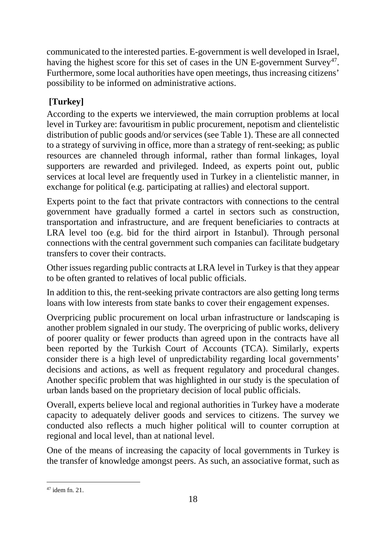communicated to the interested parties. E-government is well developed in Israel, having the highest score for this set of cases in the UN E-government  $\text{Surve}^{47}$ . Furthermore, some local authorities have open meetings, thus increasing citizens' possibility to be informed on administrative actions.

# <span id="page-17-0"></span>**[Turkey]**

According to the experts we interviewed, the main corruption problems at local level in Turkey are: favouritism in public procurement, nepotism and clientelistic distribution of public goods and/or services (see Table 1). These are all connected to a strategy of surviving in office, more than a strategy of rent-seeking; as public resources are channeled through informal, rather than formal linkages, loyal supporters are rewarded and privileged. Indeed, as experts point out, public services at local level are frequently used in Turkey in a clientelistic manner, in exchange for political (e.g. participating at rallies) and electoral support.

Experts point to the fact that private contractors with connections to the central government have gradually formed a cartel in sectors such as construction, transportation and infrastructure, and are frequent beneficiaries to contracts at LRA level too (e.g. bid for the third airport in Istanbul). Through personal connections with the central government such companies can facilitate budgetary transfers to cover their contracts.

Other issues regarding public contracts at LRA level in Turkey is that they appear to be often granted to relatives of local public officials.

In addition to this, the rent-seeking private contractors are also getting long terms loans with low interests from state banks to cover their engagement expenses.

Overpricing public procurement on local urban infrastructure or landscaping is another problem signaled in our study. The overpricing of public works, delivery of poorer quality or fewer products than agreed upon in the contracts have all been reported by the Turkish Court of Accounts (TCA). Similarly, experts consider there is a high level of unpredictability regarding local governments' decisions and actions, as well as frequent regulatory and procedural changes. Another specific problem that was highlighted in our study is the speculation of urban lands based on the proprietary decision of local public officials.

Overall, experts believe local and regional authorities in Turkey have a moderate capacity to adequately deliver goods and services to citizens. The survey we conducted also reflects a much higher political will to counter corruption at regional and local level, than at national level.

One of the means of increasing the capacity of local governments in Turkey is the transfer of knowledge amongst peers. As such, an associative format, such as

<span id="page-17-1"></span> $47$  idem fn. 21.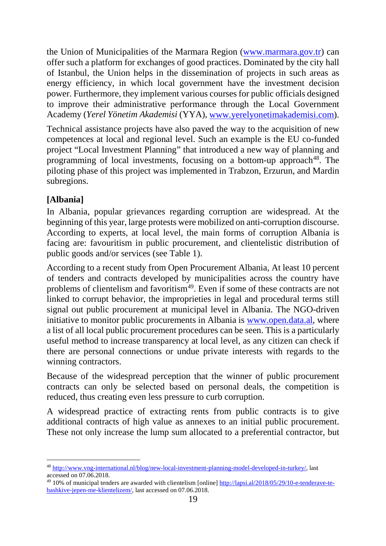the Union of Municipalities of the Marmara Region [\(www.marmara.gov.tr\)](http://www.marmara.gov.tr/) can offer such a platform for exchanges of good practices. Dominated by the city hall of Istanbul, the Union helps in the dissemination of projects in such areas as energy efficiency, in which local government have the investment decision power. Furthermore, they implement various courses for public officials designed to improve their administrative performance through the Local Government Academy (*Yerel Yönetim Akademisi* (YYA), [www.yerelyonetimakademisi.com\)](http://www.yerelyonetimakademisi.com/).

Technical assistance projects have also paved the way to the acquisition of new competences at local and regional level. Such an example is the EU co-funded project "Local Investment Planning" that introduced a new way of planning and programming of local investments, focusing on a bottom-up approach<sup>[48](#page-18-1)</sup>. The piloting phase of this project was implemented in Trabzon, Erzurun, and Mardin subregions.

# <span id="page-18-0"></span>**[Albania]**

In Albania, popular grievances regarding corruption are widespread. At the beginning of this year, large protests were mobilized on anti-corruption discourse. According to experts, at local level, the main forms of corruption Albania is facing are: favouritism in public procurement, and clientelistic distribution of public goods and/or services (see Table 1).

According to a recent study from Open Procurement Albania, At least 10 percent of tenders and contracts developed by municipalities across the country have problems of clientelism and favoritism<sup>49</sup>. Even if some of these contracts are not linked to corrupt behavior, the improprieties in legal and procedural terms still signal out public procurement at municipal level in Albania. The NGO-driven initiative to monitor public procurements in Albania is [www.open.data.al,](http://www.open.data.al/) where a list of all local public procurement procedures can be seen. This is a particularly useful method to increase transparency at local level, as any citizen can check if there are personal connections or undue private interests with regards to the winning contractors.

Because of the widespread perception that the winner of public procurement contracts can only be selected based on personal deals, the competition is reduced, thus creating even less pressure to curb corruption.

A widespread practice of extracting rents from public contracts is to give additional contracts of high value as annexes to an initial public procurement. These not only increase the lump sum allocated to a preferential contractor, but

<span id="page-18-1"></span> <sup>48</sup> [http://www.vng-international.nl/blog/new-local-investment-planning-model-developed-in-turkey/,](http://www.vng-international.nl/blog/new-local-investment-planning-model-developed-in-turkey/) last accessed on 07.06.2018.

<span id="page-18-2"></span><sup>49</sup> 10% of municipal tenders are awarded with clientelism [online] [http://lapsi.al/2018/05/29/10-e-tenderave-te](http://lapsi.al/2018/05/29/10-e-tenderave-te-bashkive-jepen-me-klientelizem/)[bashkive-jepen-me-klientelizem/,](http://lapsi.al/2018/05/29/10-e-tenderave-te-bashkive-jepen-me-klientelizem/) last accessed on 07.06.2018.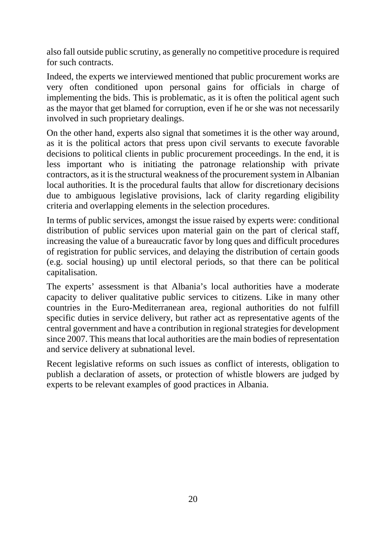also fall outside public scrutiny, as generally no competitive procedure is required for such contracts.

Indeed, the experts we interviewed mentioned that public procurement works are very often conditioned upon personal gains for officials in charge of implementing the bids. This is problematic, as it is often the political agent such as the mayor that get blamed for corruption, even if he or she was not necessarily involved in such proprietary dealings.

On the other hand, experts also signal that sometimes it is the other way around, as it is the political actors that press upon civil servants to execute favorable decisions to political clients in public procurement proceedings. In the end, it is less important who is initiating the patronage relationship with private contractors, as it is the structural weakness of the procurement system in Albanian local authorities. It is the procedural faults that allow for discretionary decisions due to ambiguous legislative provisions, lack of clarity regarding eligibility criteria and overlapping elements in the selection procedures.

In terms of public services, amongst the issue raised by experts were: conditional distribution of public services upon material gain on the part of clerical staff, increasing the value of a bureaucratic favor by long ques and difficult procedures of registration for public services, and delaying the distribution of certain goods (e.g. social housing) up until electoral periods, so that there can be political capitalisation.

The experts' assessment is that Albania's local authorities have a moderate capacity to deliver qualitative public services to citizens. Like in many other countries in the Euro-Mediterranean area, regional authorities do not fulfill specific duties in service delivery, but rather act as representative agents of the central government and have a contribution in regional strategies for development since 2007. This means that local authorities are the main bodies of representation and service delivery at subnational level.

Recent legislative reforms on such issues as conflict of interests, obligation to publish a declaration of assets, or protection of whistle blowers are judged by experts to be relevant examples of good practices in Albania.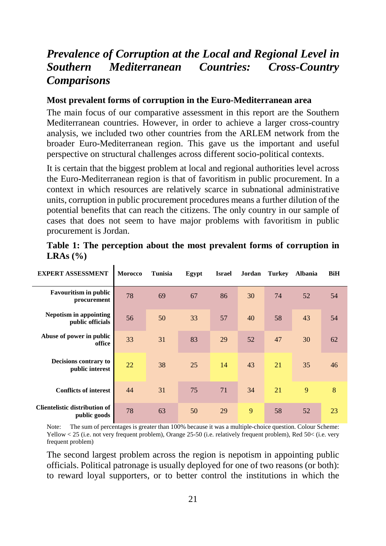# <span id="page-20-0"></span>*Prevalence of Corruption at the Local and Regional Level in Southern Mediterranean Countries: Cross-Country Comparisons*

#### <span id="page-20-1"></span>**Most prevalent forms of corruption in the Euro-Mediterranean area**

The main focus of our comparative assessment in this report are the Southern Mediterranean countries. However, in order to achieve a larger cross-country analysis, we included two other countries from the ARLEM network from the broader Euro-Mediterranean region. This gave us the important and useful perspective on structural challenges across different socio-political contexts.

It is certain that the biggest problem at local and regional authorities level across the Euro-Mediterranean region is that of favoritism in public procurement. In a context in which resources are relatively scarce in subnational administrative units, corruption in public procurement procedures means a further dilution of the potential benefits that can reach the citizens. The only country in our sample of cases that does not seem to have major problems with favoritism in public procurement is Jordan.

| <b>EXPERT ASSESSMENT</b>                             | <b>Morocco</b> | <b>Tunisia</b> | Egypt | <b>Israel</b> | Jordan | <b>Turkey</b> | <b>Albania</b> | <b>BiH</b> |
|------------------------------------------------------|----------------|----------------|-------|---------------|--------|---------------|----------------|------------|
| <b>Favouritism in public</b><br>procurement          | 78             | 69             | 67    | 86            | 30     | 74            | 52             | 54         |
| <b>Nepotism in appointing</b><br>public officials    | 56             | 50             | 33    | 57            | 40     | 58            | 43             | 54         |
| Abuse of power in public<br>office                   | 33             | 31             | 83    | 29            | 52     | 47            | 30             | 62         |
| Decisions contrary to<br>public interest             | 22             | 38             | 25    | 14            | 43     | 21            | 35             | 46         |
| <b>Conflicts of interest</b>                         | 44             | 31             | 75    | 71            | 34     | 21            | 9              | 8          |
| <b>Clientelistic distribution of</b><br>public goods | 78             | 63             | 50    | 29            | 9      | 58            | 52             | 23         |

|                                 |  |  |  |  | Table 1: The perception about the most prevalent forms of corruption in |  |
|---------------------------------|--|--|--|--|-------------------------------------------------------------------------|--|
| LRAs $\left(\frac{0}{0}\right)$ |  |  |  |  |                                                                         |  |

Note: The sum of percentages is greater than 100% because it was a multiple-choice question. Colour Scheme: Yellow < 25 (i.e. not very frequent problem), Orange 25-50 (i.e. relatively frequent problem), Red 50< (i.e. very frequent problem)

The second largest problem across the region is nepotism in appointing public officials. Political patronage is usually deployed for one of two reasons (or both): to reward loyal supporters, or to better control the institutions in which the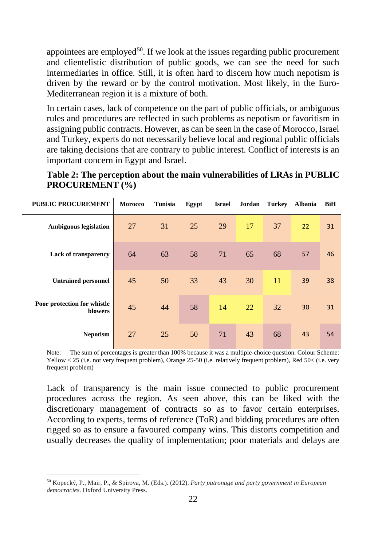appointees are employed<sup>[50](#page-21-0)</sup>. If we look at the issues regarding public procurement and clientelistic distribution of public goods, we can see the need for such intermediaries in office. Still, it is often hard to discern how much nepotism is driven by the reward or by the control motivation. Most likely, in the Euro-Mediterranean region it is a mixture of both.

In certain cases, lack of competence on the part of public officials, or ambiguous rules and procedures are reflected in such problems as nepotism or favoritism in assigning public contracts. However, as can be seen in the case of Morocco, Israel and Turkey, experts do not necessarily believe local and regional public officials are taking decisions that are contrary to public interest. Conflict of interests is an important concern in Egypt and Israel.

**Table 2: The perception about the main vulnerabilities of LRAs in PUBLIC PROCUREMENT (%)**

| <b>PUBLIC PROCUREMENT</b>              | Morocco | <b>Tunisia</b> | Egypt | <b>Israel</b> | Jordan | <b>Turkey</b> | <b>Albania</b> | BiH |
|----------------------------------------|---------|----------------|-------|---------------|--------|---------------|----------------|-----|
| <b>Ambiguous legislation</b>           | 27      | 31             | 25    | 29            | 17     | 37            | 22             | 31  |
| <b>Lack of transparency</b>            | 64      | 63             | 58    | 71            | 65     | 68            | 57             | 46  |
| <b>Untrained personnel</b>             | 45      | 50             | 33    | 43            | 30     | 11            | 39             | 38  |
| Poor protection for whistle<br>blowers | 45      | 44             | 58    | 14            | 22     | 32            | 30             | 31  |
| <b>Nepotism</b>                        | 27      | 25             | 50    | 71            | 43     | 68            | 43             | 54  |

Note: The sum of percentages is greater than 100% because it was a multiple-choice question. Colour Scheme: Yellow < 25 (i.e. not very frequent problem), Orange 25-50 (i.e. relatively frequent problem), Red 50< (i.e. very frequent problem)

Lack of transparency is the main issue connected to public procurement procedures across the region. As seen above, this can be liked with the discretionary management of contracts so as to favor certain enterprises. According to experts, terms of reference (ToR) and bidding procedures are often rigged so as to ensure a favoured company wins. This distorts competition and usually decreases the quality of implementation; poor materials and delays are

<span id="page-21-0"></span> <sup>50</sup> Kopecký, P., Mair, P., & Spirova, M. (Eds.). (2012). *Party patronage and party government in European democracies*. Oxford University Press.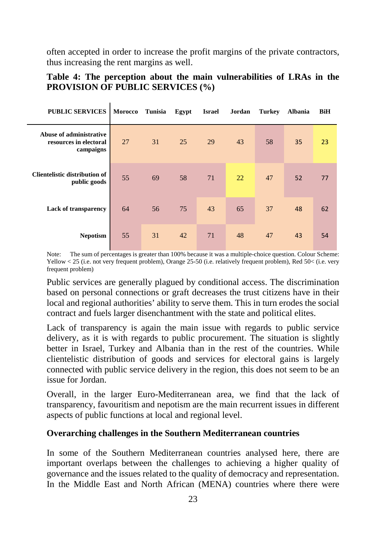often accepted in order to increase the profit margins of the private contractors, thus increasing the rent margins as well.

### **Table 4: The perception about the main vulnerabilities of LRAs in the PROVISION OF PUBLIC SERVICES (%)**

ń

| <b>PUBLIC SERVICES</b>                                         | <b>Morocco</b> | <b>Tunisia</b> | Egypt | <b>Israel</b> | Jordan | <b>Turkey</b> | <b>Albania</b> | <b>BiH</b> |
|----------------------------------------------------------------|----------------|----------------|-------|---------------|--------|---------------|----------------|------------|
| Abuse of administrative<br>resources in electoral<br>campaigns | 27             | 31             | 25    | 29            | 43     | 58            | 35             | 23         |
| <b>Clientelistic distribution of</b><br>public goods           | 55             | 69             | 58    | 71            | 22     | 47            | 52             | 77         |
| <b>Lack of transparency</b>                                    | 64             | 56             | 75    | 43            | 65     | 37            | 48             | 62         |
| <b>Nepotism</b>                                                | 55             | 31             | 42    | 71            | 48     | 47            | 43             | 54         |

Note: The sum of percentages is greater than 100% because it was a multiple-choice question. Colour Scheme: Yellow < 25 (i.e. not very frequent problem), Orange 25-50 (i.e. relatively frequent problem), Red 50< (i.e. very frequent problem)

Public services are generally plagued by conditional access. The discrimination based on personal connections or graft decreases the trust citizens have in their local and regional authorities' ability to serve them. This in turn erodes the social contract and fuels larger disenchantment with the state and political elites.

Lack of transparency is again the main issue with regards to public service delivery, as it is with regards to public procurement. The situation is slightly better in Israel, Turkey and Albania than in the rest of the countries. While clientelistic distribution of goods and services for electoral gains is largely connected with public service delivery in the region, this does not seem to be an issue for Jordan.

Overall, in the larger Euro-Mediterranean area, we find that the lack of transparency, favouritism and nepotism are the main recurrent issues in different aspects of public functions at local and regional level.

### <span id="page-22-0"></span>**Overarching challenges in the Southern Mediterranean countries**

In some of the Southern Mediterranean countries analysed here, there are important overlaps between the challenges to achieving a higher quality of governance and the issues related to the quality of democracy and representation. In the Middle East and North African (MENA) countries where there were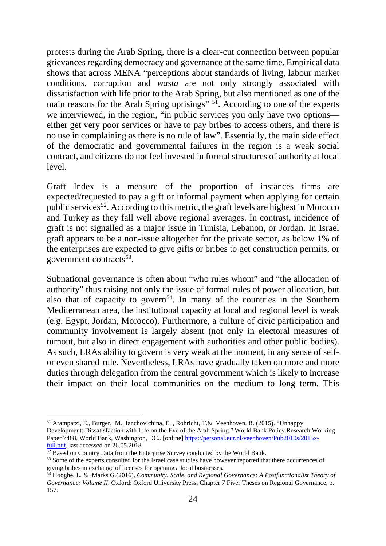protests during the Arab Spring, there is a clear-cut connection between popular grievances regarding democracy and governance at the same time. Empirical data shows that across MENA "perceptions about standards of living, labour market conditions, corruption and *wasta* are not only strongly associated with dissatisfaction with life prior to the Arab Spring, but also mentioned as one of the main reasons for the Arab Spring uprisings" <sup>[51](#page-23-0)</sup>. According to one of the experts we interviewed, in the region, "in public services you only have two options either get very poor services or have to pay bribes to access others, and there is no use in complaining as there is no rule of law". Essentially, the main side effect of the democratic and governmental failures in the region is a weak social contract, and citizens do not feel invested in formal structures of authority at local level.

Graft Index is a measure of the proportion of instances firms are expected/requested to pay a gift or informal payment when applying for certain public services<sup>52</sup>. According to this metric, the graft levels are highest in Morocco and Turkey as they fall well above regional averages. In contrast, incidence of graft is not signalled as a major issue in Tunisia, Lebanon, or Jordan. In Israel graft appears to be a non-issue altogether for the private sector, as below 1% of the enterprises are expected to give gifts or bribes to get construction permits, or government contracts $53$ .

Subnational governance is often about "who rules whom" and "the allocation of authority" thus raising not only the issue of formal rules of power allocation, but also that of capacity to govern<sup>54</sup>. In many of the countries in the Southern Mediterranean area, the institutional capacity at local and regional level is weak (e.g. Egypt, Jordan, Morocco). Furthermore, a culture of civic participation and community involvement is largely absent (not only in electoral measures of turnout, but also in direct engagement with authorities and other public bodies). As such, LRAs ability to govern is very weak at the moment, in any sense of selfor even shared-rule. Nevertheless, LRAs have gradually taken on more and more duties through delegation from the central government which is likely to increase their impact on their local communities on the medium to long term. This

<span id="page-23-0"></span> <sup>51</sup> Arampatzi, E., Burger, M., Ianchovichina, E. , Rohricht, T.& Veenhoven. R. (2015). "Unhappy Development: Dissatisfaction with Life on the Eve of the Arab Spring." World Bank Policy Research Working

Paper 7488, World Bank, Washington, DC.. [online] [https://personal.eur.nl/veenhoven/Pub2010s/2015x](https://personal.eur.nl/veenhoven/Pub2010s/2015x-full.pdf)[full.pdf,](https://personal.eur.nl/veenhoven/Pub2010s/2015x-full.pdf) last accessed on 26.05.2018<br><sup>52</sup> Based on Country Data from the Enterprise Survey conducted by the World Bank.

<span id="page-23-1"></span>

<span id="page-23-2"></span><sup>&</sup>lt;sup>53</sup> Some of the experts consulted for the Israel case studies have however reported that there occurrences of giving bribes in exchange of licenses for opening a local businesses.

<span id="page-23-3"></span><sup>54</sup> Hooghe, L. & Marks G.(2016). *Community, Scale, and Regional Governance: A Postfunctionalist Theory of Governance: Volume II*. Oxford: Oxford University Press, Chapter 7 Fiver Theses on Regional Governance, p. 157.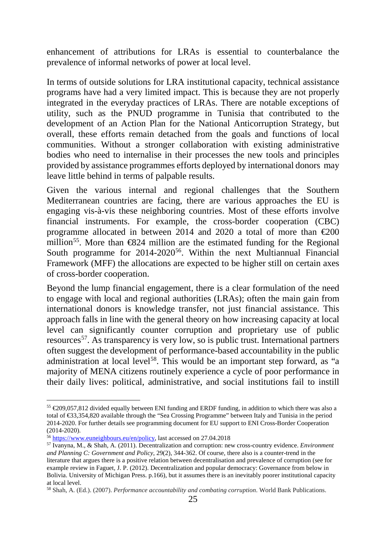enhancement of attributions for LRAs is essential to counterbalance the prevalence of informal networks of power at local level.

In terms of outside solutions for LRA institutional capacity, technical assistance programs have had a very limited impact. This is because they are not properly integrated in the everyday practices of LRAs. There are notable exceptions of utility, such as the PNUD programme in Tunisia that contributed to the development of an Action Plan for the National Anticorruption Strategy, but overall, these efforts remain detached from the goals and functions of local communities. Without a stronger collaboration with existing administrative bodies who need to internalise in their processes the new tools and principles provided by assistance programmes efforts deployed by international donors may leave little behind in terms of palpable results.

Given the various internal and regional challenges that the Southern Mediterranean countries are facing, there are various approaches the EU is engaging vis-à-vis these neighboring countries. Most of these efforts involve financial instruments. For example, the cross-border cooperation (CBC) programme allocated in between 2014 and 2020 a total of more than  $\epsilon 200$ million<sup>[55](#page-24-0)</sup>. More than  $\bigoplus$  424 million are the estimated funding for the Regional South programme for 2014-2020<sup>56</sup>. Within the next Multiannual Financial Framework (MFF) the allocations are expected to be higher still on certain axes of cross-border cooperation.

Beyond the lump financial engagement, there is a clear formulation of the need to engage with local and regional authorities (LRAs); often the main gain from international donors is knowledge transfer, not just financial assistance. This approach falls in line with the general theory on how increasing capacity at local level can significantly counter corruption and proprietary use of public resources<sup>57</sup>. As transparency is very low, so is public trust. International partners often suggest the development of performance-based accountability in the public administration at local level<sup>[58](#page-24-3)</sup>. This would be an important step forward, as "a majority of MENA citizens routinely experience a cycle of poor performance in their daily lives: political, administrative, and social institutions fail to instill

<span id="page-24-0"></span><sup>&</sup>lt;sup>55</sup>  $€209,057,812$  divided equally between ENI funding and ERDF funding, in addition to which there was also a total of €33,354,820 available through the "Sea Crossing Programme" between Italy and Tunisia in the period 2014-2020. For further details see programming document for EU support to ENI Cross-Border Cooperation (2014-2020).

<span id="page-24-1"></span><sup>56</sup> [https://www.euneighbours.eu/en/policy,](https://www.euneighbours.eu/en/policy) last accessed on 27.04.2018

<span id="page-24-2"></span><sup>57</sup> Ivanyna, M., & Shah, A. (2011). Decentralization and corruption: new cross-country evidence. *Environment and Planning C: Government and Policy*, 29(2), 344-362. Of course, there also is a counter-trend in the literature that argues there is a positive relation between decentralisation and prevalence of corruption (see for example review in Faguet, J. P. (2012). Decentralization and popular democracy: Governance from below in Bolivia. University of Michigan Press. p.166), but it assumes there is an inevitably poorer institutional capacity at local level.

<span id="page-24-3"></span><sup>58</sup> Shah, A. (Ed.). (2007). *Performance accountability and combating corruption*. World Bank Publications.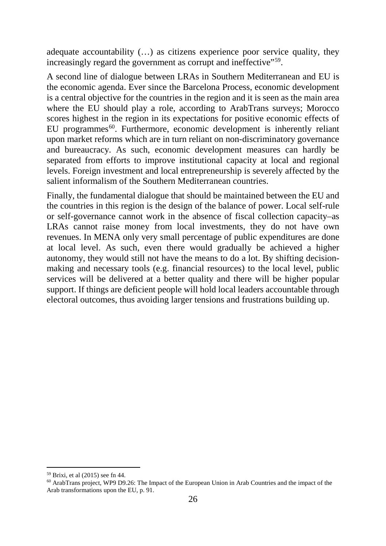adequate accountability (…) as citizens experience poor service quality, they increasingly regard the government as corrupt and ineffective"<sup>59</sup>.

A second line of dialogue between LRAs in Southern Mediterranean and EU is the economic agenda. Ever since the Barcelona Process, economic development is a central objective for the countries in the region and it is seen as the main area where the EU should play a role, according to ArabTrans surveys; Morocco scores highest in the region in its expectations for positive economic effects of EU programmes $^{60}$  $^{60}$  $^{60}$ . Furthermore, economic development is inherently reliant upon market reforms which are in turn reliant on non-discriminatory governance and bureaucracy. As such, economic development measures can hardly be separated from efforts to improve institutional capacity at local and regional levels. Foreign investment and local entrepreneurship is severely affected by the salient informalism of the Southern Mediterranean countries.

Finally, the fundamental dialogue that should be maintained between the EU and the countries in this region is the design of the balance of power. Local self-rule or self-governance cannot work in the absence of fiscal collection capacity–as LRAs cannot raise money from local investments, they do not have own revenues. In MENA only very small percentage of public expenditures are done at local level. As such, even there would gradually be achieved a higher autonomy, they would still not have the means to do a lot. By shifting decisionmaking and necessary tools (e.g. financial resources) to the local level, public services will be delivered at a better quality and there will be higher popular support. If things are deficient people will hold local leaders accountable through electoral outcomes, thus avoiding larger tensions and frustrations building up.

<span id="page-25-0"></span> $59$  Brixi, et al (2015) see fn 44.

<span id="page-25-1"></span><sup>60</sup> ArabTrans project, WP9 D9.26: The Impact of the European Union in Arab Countries and the impact of the Arab transformations upon the EU, p. 91.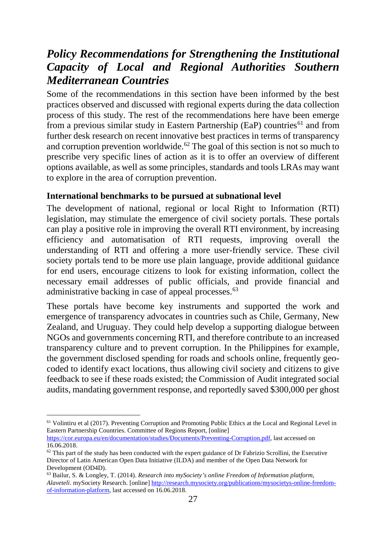# <span id="page-26-0"></span>*Policy Recommendations for Strengthening the Institutional Capacity of Local and Regional Authorities Southern Mediterranean Countries*

Some of the recommendations in this section have been informed by the best practices observed and discussed with regional experts during the data collection process of this study. The rest of the recommendations here have been emerge from a previous similar study in Eastern Partnership (EaP) countries<sup>[61](#page-26-2)</sup> and from further desk research on recent innovative best practices in terms of transparency and corruption prevention worldwide.<sup>[62](#page-26-3)</sup> The goal of this section is not so much to prescribe very specific lines of action as it is to offer an overview of different options available, as well as some principles, standards and tools LRAs may want to explore in the area of corruption prevention.

### <span id="page-26-1"></span>**International benchmarks to be pursued at subnational level**

The development of national, regional or local Right to Information (RTI) legislation, may stimulate the emergence of civil society portals. These portals can play a positive role in improving the overall RTI environment, by increasing efficiency and automatisation of RTI requests, improving overall the understanding of RTI and offering a more user-friendly service. These civil society portals tend to be more use plain language, provide additional guidance for end users, encourage citizens to look for existing information, collect the necessary email addresses of public officials, and provide financial and administrative backing in case of appeal processes.<sup>[63](#page-26-4)</sup>

These portals have become key instruments and supported the work and emergence of transparency advocates in countries such as Chile, Germany, New Zealand, and Uruguay. They could help develop a supporting dialogue between NGOs and governments concerning RTI, and therefore contribute to an increased transparency culture and to prevent corruption. In the Philippines for example, the government disclosed spending for roads and schools online, frequently geocoded to identify exact locations, thus allowing civil society and citizens to give feedback to see if these roads existed; the Commission of Audit integrated social audits, mandating government response, and reportedly saved \$300,000 per ghost

<span id="page-26-2"></span><sup>&</sup>lt;sup>61</sup> Volintiru et al (2017). Preventing Corruption and Promoting Public Ethics at the Local and Regional Level in Eastern Partnership Countries. Committee of Regions Report, [online] [https://cor.europa.eu/en/documentation/studies/Documents/Preventing-Corruption.pdf,](https://cor.europa.eu/en/documentation/studies/Documents/Preventing-Corruption.pdf) last accessed on 16.06.2018.

<span id="page-26-3"></span> $62$  This part of the study has been conducted with the expert guidance of Dr Fabrizio Scrollini, the Executive Director of Latin American Open Data Initiative (ILDA) and member of the Open Data Network for Development (OD4D).

<span id="page-26-4"></span><sup>63</sup> Bailur, S. & Longley, T. (2014). *Research into mySociety's online Freedom of Information platform, Alaveteli*. mySociety Research. [online[\] http://research.mysociety.org/publications/mysocietys-online-freedom](http://research.mysociety.org/publications/mysocietys-online-freedom-of-information-platform)[of-information-platform,](http://research.mysociety.org/publications/mysocietys-online-freedom-of-information-platform) last accessed on 16.06.2018.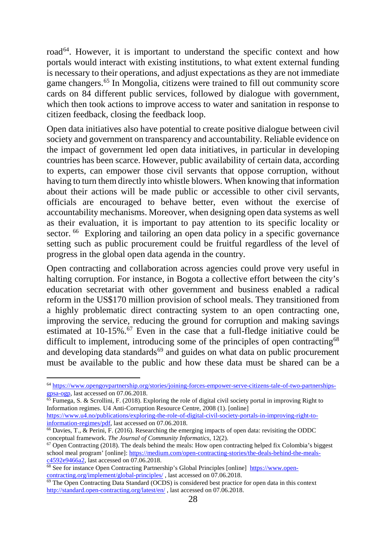road<sup>64</sup>. However, it is important to understand the specific context and how portals would interact with existing institutions, to what extent external funding is necessary to their operations, and adjust expectations as they are not immediate game changers.[65](#page-27-1) In Mongolia, citizens were trained to fill out community score cards on 84 different public services, followed by dialogue with government, which then took actions to improve access to water and sanitation in response to citizen feedback, closing the feedback loop.

Open data initiatives also have potential to create positive dialogue between civil society and government on transparency and accountability. Reliable evidence on the impact of government led open data initiatives, in particular in developing countries has been scarce. However, public availability of certain data, according to experts, can empower those civil servants that oppose corruption, without having to turn them directly into whistle blowers. When knowing that information about their actions will be made public or accessible to other civil servants, officials are encouraged to behave better, even without the exercise of accountability mechanisms. Moreover, when designing open data systems as well as their evaluation, it is important to pay attention to its specific locality or sector. <sup>[66](#page-27-2)</sup> Exploring and tailoring an open data policy in a specific governance setting such as public procurement could be fruitful regardless of the level of progress in the global open data agenda in the country.

Open contracting and collaboration across agencies could prove very useful in halting corruption. For instance, in Bogota a collective effort between the city's education secretariat with other government and business enabled a radical reform in the US\$170 million provision of school meals. They transitioned from a highly problematic direct contracting system to an open contracting one, improving the service, reducing the ground for corruption and making savings estimated at 10-15%.<sup>67</sup> Even in the case that a full-fledge initiative could be difficult to implement, introducing some of the principles of open contracting<sup>[68](#page-27-4)</sup> and developing data standards $69$  and guides on what data on public procurement must be available to the public and how these data must be shared can be a

[https://www.u4.no/publications/exploring-the-role-of-digital-civil-society-portals-in-improving-right-to](https://www.u4.no/publications/exploring-the-role-of-digital-civil-society-portals-in-improving-right-to-information-regimes/pdf)[information-regimes/pdf,](https://www.u4.no/publications/exploring-the-role-of-digital-civil-society-portals-in-improving-right-to-information-regimes/pdf) last accessed on 07.06.2018.

<span id="page-27-0"></span> <sup>64</sup> [https://www.opengovpartnership.org/stories/joining-forces-empower-serve-citizens-tale-of-two-partnerships](https://www.opengovpartnership.org/stories/joining-forces-empower-serve-citizens-tale-of-two-partnerships-gpsa-ogp)[gpsa-ogp,](https://www.opengovpartnership.org/stories/joining-forces-empower-serve-citizens-tale-of-two-partnerships-gpsa-ogp) last accessed on 07.06.2018.

<span id="page-27-1"></span><sup>&</sup>lt;sup>65</sup> Fumega, S. & Scrollini, F. (2018). Exploring the role of digital civil society portal in improving Right to Information regimes. U4 Anti-Corruption Resource Centre, 2008 (1). [online]

<span id="page-27-2"></span><sup>66</sup> Davies, T., & Perini, F. (2016). Researching the emerging impacts of open data: revisiting the ODDC conceptual framework. *The Journal of Community Informatics*, 12(2).

<span id="page-27-3"></span> $67$  Open Contracting (2018). The deals behind the meals: How open contracting helped fix Colombia's biggest school meal program' [online]: [https://medium.com/open-contracting-stories/the-deals-behind-the-meals](https://medium.com/open-contracting-stories/the-deals-behind-the-meals-c4592e9466a2)[c4592e9466a2,](https://medium.com/open-contracting-stories/the-deals-behind-the-meals-c4592e9466a2) last accessed on 07.06.2018.

<span id="page-27-4"></span><sup>&</sup>lt;sup>68</sup> See for instance Open Contracting Partnership's Global Principles [online] [https://www.open](https://www.open-contracting.org/implement/global-principles/)[contracting.org/implement/global-principles/](https://www.open-contracting.org/implement/global-principles/) , last accessed on 07.06.2018.

<span id="page-27-5"></span> $69$  The Open Contracting Data Standard (OCDS) is considered best practice for open data in this context <http://standard.open-contracting.org/latest/en/> , last accessed on 07.06.2018.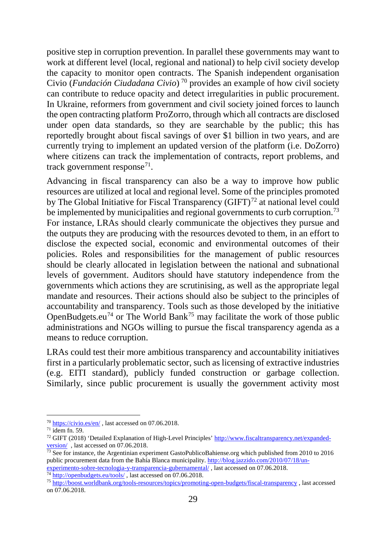positive step in corruption prevention. In parallel these governments may want to work at different level (local, regional and national) to help civil society develop the capacity to monitor open contracts. The Spanish independent organisation Civio (*Fundación Ciudadana Civio*) [70](#page-28-0) provides an example of how civil society can contribute to reduce opacity and detect irregularities in public procurement. In Ukraine, reformers from government and civil society joined forces to launch the open contracting platform ProZorro, through which all contracts are disclosed under open data standards, so they are searchable by the public; this has reportedly brought about fiscal savings of over \$1 billion in two years, and are currently trying to implement an updated version of the platform (i.e. DoZorro) where citizens can track the implementation of contracts, report problems, and track government response<sup>[71](#page-28-1)</sup>.

Advancing in fiscal transparency can also be a way to improve how public resources are utilized at local and regional level. Some of the principles promoted by The Global Initiative for Fiscal Transparency (GIFT)<sup>[72](#page-28-2)</sup> at national level could be implemented by municipalities and regional governments to curb corruption.<sup>[73](#page-28-3)</sup> For instance, LRAs should clearly communicate the objectives they pursue and the outputs they are producing with the resources devoted to them, in an effort to disclose the expected social, economic and environmental outcomes of their policies. Roles and responsibilities for the management of public resources should be clearly allocated in legislation between the national and subnational levels of government. Auditors should have statutory independence from the governments which actions they are scrutinising, as well as the appropriate legal mandate and resources. Their actions should also be subject to the principles of accountability and transparency. Tools such as those developed by the initiative OpenBudgets.eu<sup>[74](#page-28-4)</sup> or The World Bank<sup>[75](#page-28-5)</sup> may facilitate the work of those public administrations and NGOs willing to pursue the fiscal transparency agenda as a means to reduce corruption.

LRAs could test their more ambitious transparency and accountability initiatives first in a particularly problematic sector, such as licensing of extractive industries (e.g. EITI standard), publicly funded construction or garbage collection. Similarly, since public procurement is usually the government activity most

<span id="page-28-0"></span> <sup>70</sup> <https://civio.es/en/> , last accessed on 07.06.2018.

<span id="page-28-1"></span> $71$  idem fn. 59.

<span id="page-28-2"></span><sup>72</sup> GIFT (2018) 'Detailed Explanation of High-Level Principles[' http://www.fiscaltransparency.net/expanded](http://www.fiscaltransparency.net/expanded-version/)[version/](http://www.fiscaltransparency.net/expanded-version/) , last accessed on 07.06.2018.

<span id="page-28-3"></span> $\frac{73}{12}$  See for instance, the Argentinian experiment GastoPublicoBahiense.org which published from 2010 to 2016 public procurement data from the Bahía Blanca municipality. [http://blog.jazzido.com/2010/07/18/un](http://blog.jazzido.com/2010/07/18/un-experimento-sobre-tecnologia-y-transparencia-gubernamental/)[experimento-sobre-tecnologia-y-transparencia-gubernamental/](http://blog.jazzido.com/2010/07/18/un-experimento-sobre-tecnologia-y-transparencia-gubernamental/), last accessed on 07.06.2018. <sup>74</sup> <http://openbudgets.eu/tools/>, last accessed on 07.06.2018.

<span id="page-28-5"></span><span id="page-28-4"></span><sup>75</sup> <http://boost.worldbank.org/tools-resources/topics/promoting-open-budgets/fiscal-transparency> , last accessed on 07.06.2018.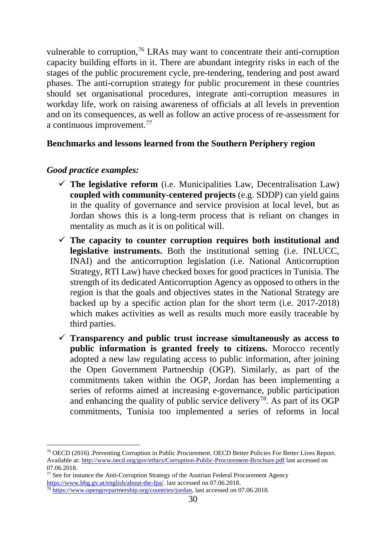vulnerable to corruption,<sup>[76](#page-29-1)</sup> LRAs may want to concentrate their anti-corruption capacity building efforts in it. There are abundant integrity risks in each of the stages of the public procurement cycle, pre-tendering, tendering and post award phases. The anti-corruption strategy for public procurement in these countries should set organisational procedures, integrate anti-corruption measures in workday life, work on raising awareness of officials at all levels in prevention and on its consequences, as well as follow an active process of re-assessment for a continuous improvement.[77](#page-29-2)

### <span id="page-29-0"></span>**Benchmarks and lessons learned from the Southern Periphery region**

### *Good practice examples:*

- $\checkmark$  The legislative reform (i.e. Municipalities Law, Decentralisation Law) **coupled with community-centered projects** (e.g. SDDP) can yield gains in the quality of governance and service provision at local level, but as Jordan shows this is a long-term process that is reliant on changes in mentality as much as it is on political will.
- $\checkmark$  The capacity to counter corruption requires both institutional and **legislative instruments.** Both the institutional setting (i.e. INLUCC, INAI) and the anticorruption legislation (i.e. National Anticorruption Strategy, RTI Law) have checked boxes for good practices in Tunisia. The strength of its dedicated Anticorruption Agency as opposed to others in the region is that the goals and objectives states in the National Strategy are backed up by a specific action plan for the short term (i.e. 2017-2018) which makes activities as well as results much more easily traceable by third parties.
- $\checkmark$  Transparency and public trust increase simultaneously as access to **public information is granted freely to citizens.** Morocco recently adopted a new law regulating access to public information, after joining the Open Government Partnership (OGP). Similarly, as part of the commitments taken within the OGP, Jordan has been implementing a series of reforms aimed at increasing e-governance, public participation and enhancing the quality of public service delivery<sup>[78](#page-29-3)</sup>. As part of its OGP commitments, Tunisia too implemented a series of reforms in local

<span id="page-29-1"></span> <sup>76</sup> OECD (2016) .Preventing Corruption in Public Procurement. OECD Better Policies For Better Lives Report. Available at:<http://www.oecd.org/gov/ethics/Corruption-Public-Procurement-Brochure.pdf> last accessed on 07.06.2018.

<span id="page-29-2"></span><sup>&</sup>lt;sup>77</sup> See for instance the Anti-Corruption Strategy of the Austrian Federal Procurement Agency https://www.bbg.gv.at/english/about-the-fpa/. last accessed on 07.06.2018.

<span id="page-29-3"></span><sup>&</sup>lt;sup>78</sup> [https://www.opengovpartnership.org/countries/jordan,](https://www.opengovpartnership.org/countries/jordan) last accessed on 07.06.2018.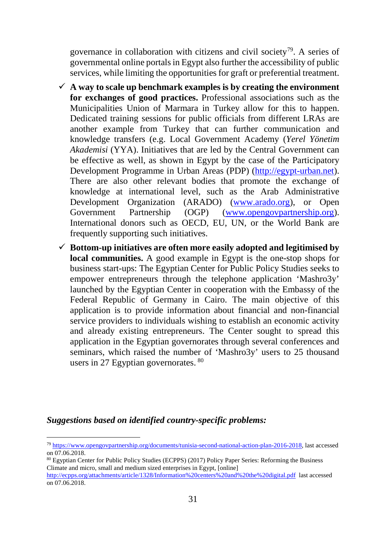governance in collaboration with citizens and civil society<sup>79</sup>. A series of governmental online portals in Egypt also further the accessibility of public services, while limiting the opportunities for graft or preferential treatment.

- $\checkmark$  A way to scale up benchmark examples is by creating the environment **for exchanges of good practices.** Professional associations such as the Municipalities Union of Marmara in Turkey allow for this to happen. Dedicated training sessions for public officials from different LRAs are another example from Turkey that can further communication and knowledge transfers (e.g. Local Government Academy (*Yerel Yönetim Akademisi* (YYA). Initiatives that are led by the Central Government can be effective as well, as shown in Egypt by the case of the Participatory Development Programme in Urban Areas (PDP) [\(http://egypt-urban.net\)](http://egypt-urban.net/). There are also other relevant bodies that promote the exchange of knowledge at international level, such as the Arab Administrative Development Organization (ARADO) [\(www.arado.org\)](http://www.arado.org/), or Open Government Partnership (OGP) [\(www.opengovpartnership.org\)](http://www.opengovpartnership.org/). International donors such as OECD, EU, UN, or the World Bank are frequently supporting such initiatives.
- $\checkmark$  Bottom-up initiatives are often more easily adopted and legitimised by **local communities.** A good example in Egypt is the one-stop shops for business start-ups: The Egyptian Center for Public Policy Studies seeks to empower entrepreneurs through the telephone application 'Mashro3y' launched by the Egyptian Center in cooperation with the Embassy of the Federal Republic of Germany in Cairo. The main objective of this application is to provide information about financial and non-financial service providers to individuals wishing to establish an economic activity and already existing entrepreneurs. The Center sought to spread this application in the Egyptian governorates through several conferences and seminars, which raised the number of 'Mashro3y' users to 25 thousand users in 27 Egyptian governorates. [80](#page-30-1)

#### *Suggestions based on identified country-specific problems:*

<span id="page-30-0"></span> <sup>79</sup> [https://www.opengovpartnership.org/documents/tunisia-second-national-action-plan-2016-2018,](https://www.opengovpartnership.org/documents/tunisia-second-national-action-plan-2016-2018) last accessed on 07.06.2018.

<span id="page-30-1"></span><sup>80</sup> Egyptian Center for Public Policy Studies (ECPPS) (2017) Policy Paper Series: Reforming the Business Climate and micro, small and medium sized enterprises in Egypt, [online]

<http://ecpps.org/attachments/article/1328/Information%20centers%20and%20the%20digital.pdf> last accessed on 07.06.2018.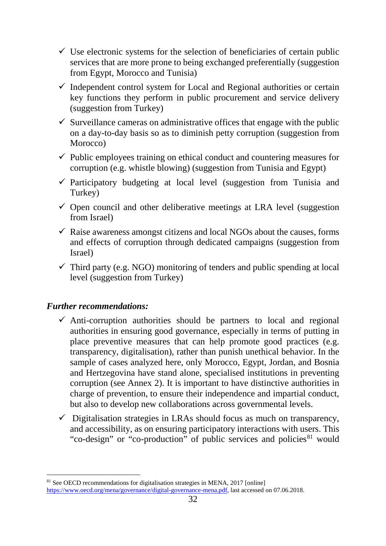- $\checkmark$  Use electronic systems for the selection of beneficiaries of certain public services that are more prone to being exchanged preferentially (suggestion from Egypt, Morocco and Tunisia)
- $\checkmark$  Independent control system for Local and Regional authorities or certain key functions they perform in public procurement and service delivery (suggestion from Turkey)
- $\checkmark$  Surveillance cameras on administrative offices that engage with the public on a day-to-day basis so as to diminish petty corruption (suggestion from Morocco)
- $\checkmark$  Public employees training on ethical conduct and countering measures for corruption (e.g. whistle blowing) (suggestion from Tunisia and Egypt)
- $\checkmark$  Participatory budgeting at local level (suggestion from Tunisia and Turkey)
- $\checkmark$  Open council and other deliberative meetings at LRA level (suggestion from Israel)
- $\checkmark$  Raise awareness amongst citizens and local NGOs about the causes, forms and effects of corruption through dedicated campaigns (suggestion from Israel)
- $\checkmark$  Third party (e.g. NGO) monitoring of tenders and public spending at local level (suggestion from Turkey)

### *Further recommendations:*

- $\checkmark$  Anti-corruption authorities should be partners to local and regional authorities in ensuring good governance, especially in terms of putting in place preventive measures that can help promote good practices (e.g. transparency, digitalisation), rather than punish unethical behavior. In the sample of cases analyzed here, only Morocco, Egypt, Jordan, and Bosnia and Hertzegovina have stand alone, specialised institutions in preventing corruption (see Annex 2). It is important to have distinctive authorities in charge of prevention, to ensure their independence and impartial conduct, but also to develop new collaborations across governmental levels.
- $\checkmark$  Digitalisation strategies in LRAs should focus as much on transparency, and accessibility, as on ensuring participatory interactions with users. This "co-design" or "co-production" of public services and policies<sup>[81](#page-31-0)</sup> would

<span id="page-31-0"></span><sup>&</sup>lt;sup>81</sup> See OECD recommendations for digitalisation strategies in MENA, 2017 [online] [https://www.oecd.org/mena/governance/digital-governance-mena.pdf,](https://www.oecd.org/mena/governance/digital-governance-mena.pdf) last accessed on 07.06.2018.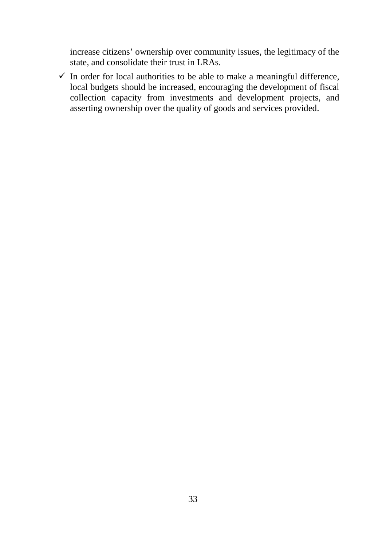increase citizens' ownership over community issues, the legitimacy of the state, and consolidate their trust in LRAs.

 $\checkmark$  In order for local authorities to be able to make a meaningful difference, local budgets should be increased, encouraging the development of fiscal collection capacity from investments and development projects, and asserting ownership over the quality of goods and services provided.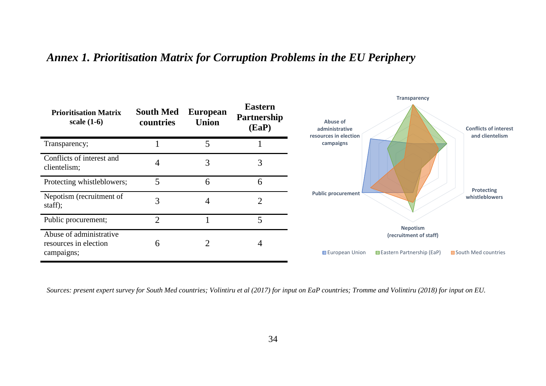# *Annex 1. Prioritisation Matrix for Corruption Problems in the EU Periphery*



<span id="page-33-0"></span>*Sources: present expert survey for South Med countries; Volintiru et al (2017) for input on EaP countries; Tromme and Volintiru (2018) for input on EU.*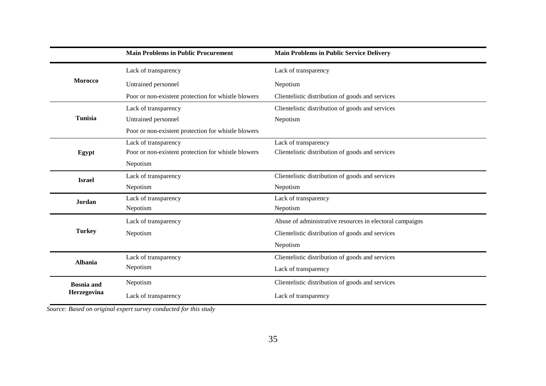|                   | <b>Main Problems in Public Procurement</b>          | <b>Main Problems in Public Service Delivery</b>          |
|-------------------|-----------------------------------------------------|----------------------------------------------------------|
|                   | Lack of transparency                                | Lack of transparency                                     |
| <b>Morocco</b>    | Untrained personnel                                 | Nepotism                                                 |
|                   | Poor or non-existent protection for whistle blowers | Clientelistic distribution of goods and services         |
|                   | Lack of transparency                                | Clientelistic distribution of goods and services         |
| <b>Tunisia</b>    | Untrained personnel                                 | Nepotism                                                 |
|                   | Poor or non-existent protection for whistle blowers |                                                          |
|                   | Lack of transparency                                | Lack of transparency                                     |
| Egypt             | Poor or non-existent protection for whistle blowers | Clientelistic distribution of goods and services         |
|                   | Nepotism                                            |                                                          |
| <b>Israel</b>     | Lack of transparency                                | Clientelistic distribution of goods and services         |
|                   | Nepotism                                            | Nepotism                                                 |
| <b>Jordan</b>     | Lack of transparency                                | Lack of transparency                                     |
|                   | Nepotism                                            | Nepotism                                                 |
|                   | Lack of transparency                                | Abuse of administrative resources in electoral campaigns |
| <b>Turkey</b>     | Nepotism                                            | Clientelistic distribution of goods and services         |
|                   |                                                     | Nepotism                                                 |
| <b>Albania</b>    | Lack of transparency                                | Clientelistic distribution of goods and services         |
|                   | Nepotism                                            | Lack of transparency                                     |
| <b>Bosnia</b> and | Nepotism                                            | Clientelistic distribution of goods and services         |
| Herzegovina       | Lack of transparency                                | Lack of transparency                                     |

*Source: Based on original expert survey conducted for this study*